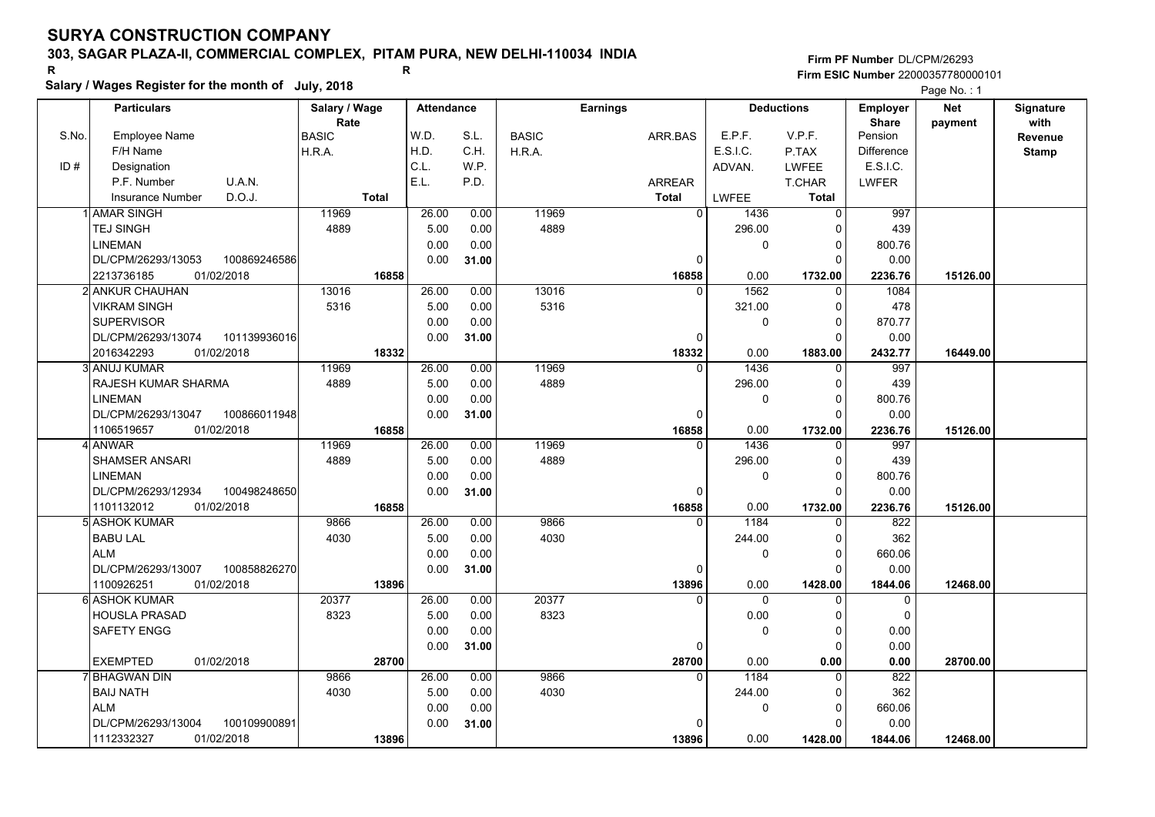## **303, SAGAR PLAZA-II, COMMERCIAL COMPLEX, PITAM PURA, NEW DELHI-110034 INDIA**

**Salary / Wages Register for the month of July, 2018 <sup>R</sup> <sup>R</sup>**

**Firm PF Number**DL/CPM/26293**Firm ESIC Number** 22000357780000101

|       | Salary / Wages Register for the month of July, 2018 |               |       |                   |       |              |                 |                      |                   |                   | Page No.: 1 |                  |
|-------|-----------------------------------------------------|---------------|-------|-------------------|-------|--------------|-----------------|----------------------|-------------------|-------------------|-------------|------------------|
|       | <b>Particulars</b>                                  | Salary / Wage |       | <b>Attendance</b> |       |              | <b>Earnings</b> |                      | <b>Deductions</b> | <b>Employer</b>   | <b>Net</b>  | <b>Signature</b> |
|       |                                                     | Rate          |       |                   |       |              |                 |                      |                   | <b>Share</b>      | payment     | with             |
| S.No. | <b>Employee Name</b>                                | <b>BASIC</b>  |       | W.D.              | S.L.  | <b>BASIC</b> | ARR.BAS         | E.P.F.               | V.P.F.            | Pension           |             | Revenue          |
|       | F/H Name                                            | H.R.A.        |       | H.D.              | C.H.  | H.R.A.       |                 | E.S.I.C.             | P.TAX             | <b>Difference</b> |             | <b>Stamp</b>     |
| ID#   | Designation                                         |               |       | C.L.              | W.P.  |              |                 | ADVAN.               | <b>LWFEE</b>      | E.S.I.C.          |             |                  |
|       | P.F. Number<br>U.A.N.                               |               |       | E.L.              | P.D.  |              | <b>ARREAR</b>   |                      | <b>T.CHAR</b>     | <b>LWFER</b>      |             |                  |
|       | D.O.J.<br><b>Insurance Number</b>                   | <b>Total</b>  |       |                   |       |              | <b>Total</b>    | <b>LWFEE</b>         | <b>Total</b>      |                   |             |                  |
|       | <b>AMAR SINGH</b>                                   | 11969         |       | 26.00             | 0.00  | 11969        |                 | $\mathbf{0}$<br>1436 | $\mathsf 0$       | 997               |             |                  |
|       | <b>TEJ SINGH</b>                                    | 4889          |       | 5.00              | 0.00  | 4889         |                 | 296.00               | 0                 | 439               |             |                  |
|       | LINEMAN                                             |               |       | 0.00              | 0.00  |              |                 | $\mathbf 0$          | $\mathbf 0$       | 800.76            |             |                  |
|       | 100869246586<br>DL/CPM/26293/13053                  |               |       | 0.00              | 31.00 |              |                 | $\Omega$             | $\Omega$          | 0.00              |             |                  |
|       | 2213736185<br>01/02/2018                            |               | 16858 |                   |       |              | 16858           | 0.00                 | 1732.00           | 2236.76           | 15126.00    |                  |
|       | 2 ANKUR CHAUHAN                                     | 13016         |       | 26.00             | 0.00  | 13016        |                 | 1562<br>$\Omega$     | 0                 | 1084              |             |                  |
|       | <b>VIKRAM SINGH</b>                                 | 5316          |       | 5.00              | 0.00  | 5316         |                 | 321.00               | $\mathbf 0$       | 478               |             |                  |
|       | <b>SUPERVISOR</b>                                   |               |       | 0.00              | 0.00  |              |                 | $\mathbf 0$          | $\mathbf 0$       | 870.77            |             |                  |
|       | DL/CPM/26293/13074<br>101139936016                  |               |       | 0.00              | 31.00 |              |                 | $\Omega$             | $\Omega$          | 0.00              |             |                  |
|       | 2016342293<br>01/02/2018                            |               | 18332 |                   |       |              | 18332           | 0.00                 | 1883.00           | 2432.77           | 16449.00    |                  |
|       | 3 ANUJ KUMAR                                        | 11969         |       | 26.00             | 0.00  | 11969        |                 | 1436<br>$\mathbf{0}$ | 0                 | 997               |             |                  |
|       | RAJESH KUMAR SHARMA                                 | 4889          |       | 5.00              | 0.00  | 4889         |                 | 296.00               | 0                 | 439               |             |                  |
|       | <b>LINEMAN</b>                                      |               |       | 0.00              | 0.00  |              |                 | 0                    | $\Omega$          | 800.76            |             |                  |
|       | DL/CPM/26293/13047<br>100866011948                  |               |       | 0.00              | 31.00 |              |                 | $\Omega$             | $\Omega$          | 0.00              |             |                  |
|       | 01/02/2018<br>1106519657                            |               | 16858 |                   |       |              | 16858           | 0.00                 | 1732.00           | 2236.76           | 15126.00    |                  |
|       | 4 ANWAR                                             | 11969         |       | 26.00             | 0.00  | 11969        |                 | 1436<br>$\Omega$     | $\Omega$          | 997               |             |                  |
|       | <b>SHAMSER ANSARI</b>                               | 4889          |       | 5.00              | 0.00  | 4889         |                 | 296.00               | $\Omega$          | 439               |             |                  |
|       | <b>LINEMAN</b>                                      |               |       | 0.00              | 0.00  |              |                 | 0                    | $\mathbf 0$       | 800.76            |             |                  |
|       | DL/CPM/26293/12934<br>100498248650                  |               |       | 0.00              | 31.00 |              |                 | 0                    | $\Omega$          | 0.00              |             |                  |
|       | 1101132012<br>01/02/2018                            |               | 16858 |                   |       |              | 16858           | 0.00                 | 1732.00           | 2236.76           | 15126.00    |                  |
|       | 5l ASHOK KUMAR                                      | 9866          |       | 26.00             | 0.00  | 9866         |                 | 1184<br>$\Omega$     | $\Omega$          | 822               |             |                  |
|       | <b>BABU LAL</b>                                     | 4030          |       | 5.00              | 0.00  | 4030         |                 | 244.00               | 0                 | 362               |             |                  |
|       | <b>ALM</b>                                          |               |       | 0.00              | 0.00  |              |                 | 0                    | $\mathbf 0$       | 660.06            |             |                  |
|       | DL/CPM/26293/13007<br>100858826270                  |               |       | 0.00              | 31.00 |              |                 | $\Omega$             | $\Omega$          | 0.00              |             |                  |
|       | 1100926251<br>01/02/2018                            |               | 13896 |                   |       |              | 13896           | 0.00                 | 1428.00           | 1844.06           | 12468.00    |                  |
|       | 6 ASHOK KUMAR                                       | 20377         |       | 26.00             | 0.00  | 20377        |                 | $\mathbf 0$<br>0     | 0                 | 0                 |             |                  |
|       | <b>HOUSLA PRASAD</b>                                | 8323          |       | 5.00              | 0.00  | 8323         |                 | 0.00                 | $\mathbf 0$       | $\Omega$          |             |                  |
|       | SAFETY ENGG                                         |               |       | 0.00              | 0.00  |              |                 | $\Omega$             | $\Omega$          | 0.00              |             |                  |
|       |                                                     |               |       | 0.00              | 31.00 |              |                 | $\Omega$             | $\Omega$          | 0.00              |             |                  |
|       | <b>EXEMPTED</b><br>01/02/2018                       |               | 28700 |                   |       |              | 28700           | 0.00                 | 0.00              | 0.00              | 28700.00    |                  |
|       | 7 BHAGWAN DIN                                       | 9866          |       | 26.00             | 0.00  | 9866         |                 | 1184<br>$\Omega$     | $\Omega$          | 822               |             |                  |
|       | <b>BAIJ NATH</b>                                    | 4030          |       | 5.00              | 0.00  | 4030         |                 | 244.00               | $\Omega$          | 362               |             |                  |
|       | <b>ALM</b>                                          |               |       | 0.00              | 0.00  |              |                 | 0                    | 0                 | 660.06            |             |                  |
|       | DL/CPM/26293/13004<br>100109900891                  |               |       | 0.00              | 31.00 |              |                 | $\Omega$             | $\Omega$          | 0.00              |             |                  |
|       | 1112332327<br>01/02/2018                            |               | 13896 |                   |       |              | 13896           | 0.00                 | 1428.00           | 1844.06           | 12468.00    |                  |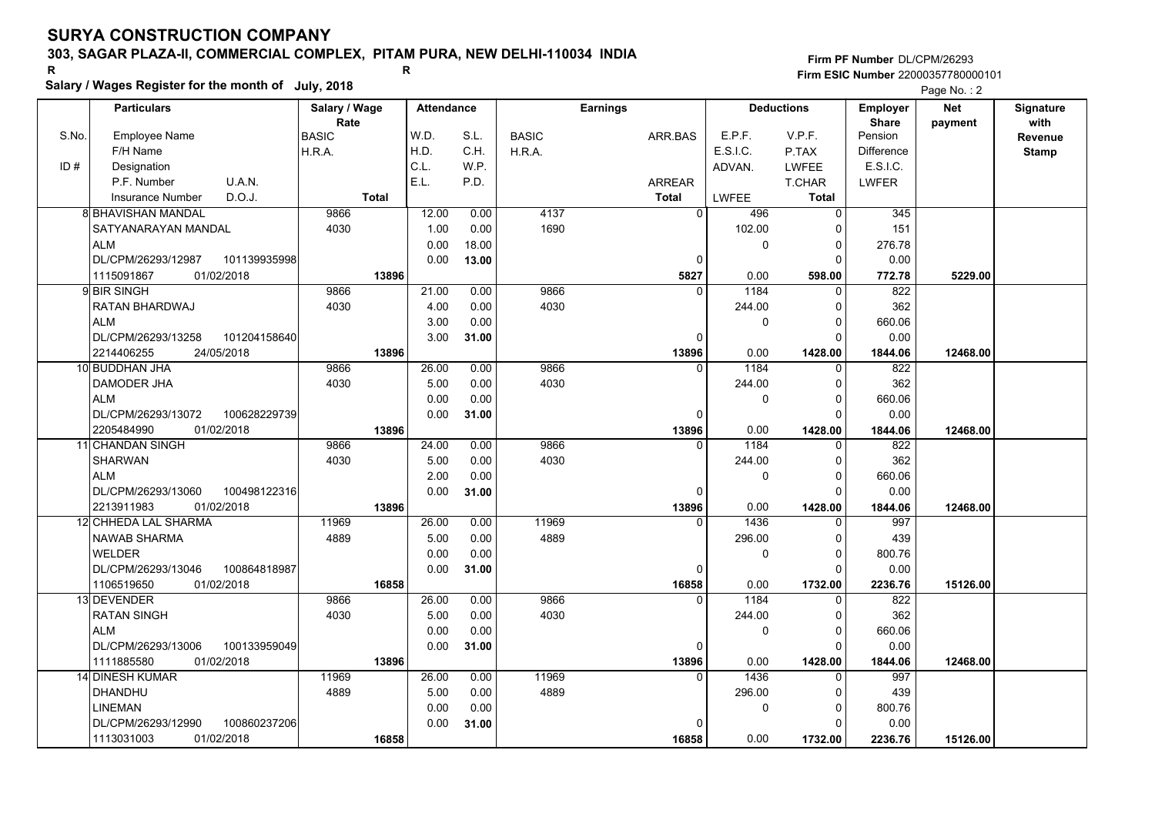## **303, SAGAR PLAZA-II, COMMERCIAL COMPLEX, PITAM PURA, NEW DELHI-110034 INDIA**

**Salary / Wages Register for the month of July, 2018 <sup>R</sup> <sup>R</sup>**

## **Firm PF Number**DL/CPM/26293**Firm ESIC Number** 22000357780000101

|       | <b>Particulars</b>                |              | Salary / Wage |              | <b>Attendance</b> |       |              | <b>Earnings</b> |             |              | <b>Deductions</b> | <b>Employer</b>         | <b>Net</b> | Signature               |
|-------|-----------------------------------|--------------|---------------|--------------|-------------------|-------|--------------|-----------------|-------------|--------------|-------------------|-------------------------|------------|-------------------------|
| S.No. | <b>Employee Name</b>              |              | Rate<br>BASIC |              | W.D.              | S.L.  | <b>BASIC</b> | ARR.BAS         |             | E.P.F.       | V.P.F.            | <b>Share</b><br>Pension | payment    | with                    |
|       | F/H Name                          |              | H.R.A.        |              | H.D.              | C.H.  | H.R.A.       |                 |             | E.S.I.C.     | P.TAX             | Difference              |            | Revenue<br><b>Stamp</b> |
| ID#   | Designation                       |              |               |              | C.L.              | W.P.  |              |                 |             | ADVAN.       | <b>LWFEE</b>      | E.S.I.C.                |            |                         |
|       | U.A.N.<br>P.F. Number             |              |               |              | E.L.              | P.D.  |              | <b>ARREAR</b>   |             |              | T.CHAR            | <b>LWFER</b>            |            |                         |
|       | D.O.J.<br><b>Insurance Number</b> |              |               | <b>Total</b> |                   |       |              | <b>Total</b>    |             | LWFEE        | <b>Total</b>      |                         |            |                         |
|       | <b>8 BHAVISHAN MANDAL</b>         |              | 9866          |              | 12.00             | 0.00  | 4137         |                 | $\Omega$    | 496          | $\mathbf 0$       | 345                     |            |                         |
|       | SATYANARAYAN MANDAL               |              | 4030          |              | 1.00              | 0.00  | 1690         |                 |             | 102.00       | $\Omega$          | 151                     |            |                         |
|       | <b>ALM</b>                        |              |               |              | 0.00              | 18.00 |              |                 |             | 0            | 0                 | 276.78                  |            |                         |
|       | DL/CPM/26293/12987                | 101139935998 |               |              | 0.00              | 13.00 |              |                 | $\mathbf 0$ |              | $\Omega$          | 0.00                    |            |                         |
|       | 1115091867<br>01/02/2018          |              |               | 13896        |                   |       |              |                 | 5827        | 0.00         | 598.00            | 772.78                  | 5229.00    |                         |
|       | 9 BIR SINGH                       |              | 9866          |              | 21.00             | 0.00  | 9866         |                 | $\Omega$    | 1184         | $\Omega$          | 822                     |            |                         |
|       | RATAN BHARDWAJ                    |              | 4030          |              | 4.00              | 0.00  | 4030         |                 |             | 244.00       | $\Omega$          | 362                     |            |                         |
|       | <b>ALM</b>                        |              |               |              | 3.00              | 0.00  |              |                 |             | 0            | $\Omega$          | 660.06                  |            |                         |
|       | DL/CPM/26293/13258                | 101204158640 |               |              | 3.00              | 31.00 |              |                 | $\Omega$    |              | $\Omega$          | 0.00                    |            |                         |
|       | 2214406255<br>24/05/2018          |              |               | 13896        |                   |       |              |                 | 13896       | 0.00         | 1428.00           | 1844.06                 | 12468.00   |                         |
|       | 10 BUDDHAN JHA                    |              | 9866          |              | 26.00             | 0.00  | 9866         |                 | $\Omega$    | 1184         | $\Omega$          | 822                     |            |                         |
|       | DAMODER JHA                       |              | 4030          |              | 5.00              | 0.00  | 4030         |                 |             | 244.00       | 0                 | 362                     |            |                         |
|       | <b>ALM</b>                        |              |               |              | 0.00              | 0.00  |              |                 |             | $\mathbf{0}$ | $\Omega$          | 660.06                  |            |                         |
|       | DL/CPM/26293/13072                | 100628229739 |               |              | 0.00              | 31.00 |              |                 | $\Omega$    |              | $\Omega$          | 0.00                    |            |                         |
|       | 01/02/2018<br>2205484990          |              |               | 13896        |                   |       |              |                 | 13896       | 0.00         | 1428.00           | 1844.06                 | 12468.00   |                         |
|       | 11 CHANDAN SINGH                  |              | 9866          |              | 24.00             | 0.00  | 9866         |                 | $\Omega$    | 1184         | 0                 | 822                     |            |                         |
|       | <b>SHARWAN</b>                    |              | 4030          |              | 5.00              | 0.00  | 4030         |                 |             | 244.00       | $\Omega$          | 362                     |            |                         |
|       | <b>ALM</b>                        |              |               |              | 2.00              | 0.00  |              |                 |             | 0            | $\Omega$          | 660.06                  |            |                         |
|       | DL/CPM/26293/13060                | 100498122316 |               |              | 0.00              | 31.00 |              |                 | 0           |              | $\Omega$          | 0.00                    |            |                         |
|       | 2213911983<br>01/02/2018          |              |               | 13896        |                   |       |              |                 | 13896       | 0.00         | 1428.00           | 1844.06                 | 12468.00   |                         |
|       | 12 CHHEDA LAL SHARMA              |              | 11969         |              | 26.00             | 0.00  | 11969        |                 | $\Omega$    | 1436         | $\Omega$          | 997                     |            |                         |
|       | NAWAB SHARMA                      |              | 4889          |              | 5.00              | 0.00  | 4889         |                 |             | 296.00       | $\Omega$          | 439                     |            |                         |
|       | <b>WELDER</b>                     |              |               |              | 0.00              | 0.00  |              |                 |             | $\mathbf{0}$ | 0                 | 800.76                  |            |                         |
|       | DL/CPM/26293/13046                | 100864818987 |               |              | 0.00              | 31.00 |              |                 | 0           |              | $\Omega$          | 0.00                    |            |                         |
|       | 1106519650<br>01/02/2018          |              |               | 16858        |                   |       |              |                 | 16858       | 0.00         | 1732.00           | 2236.76                 | 15126.00   |                         |
|       | 13 DEVENDER                       |              | 9866          |              | 26.00             | 0.00  | 9866         |                 | $\Omega$    | 1184         | $\Omega$          | 822                     |            |                         |
|       | <b>RATAN SINGH</b>                |              | 4030          |              | 5.00              | 0.00  | 4030         |                 |             | 244.00       | $\Omega$          | 362                     |            |                         |
|       | <b>ALM</b>                        |              |               |              | 0.00              | 0.00  |              |                 |             | 0            | 0                 | 660.06                  |            |                         |
|       | DL/CPM/26293/13006                | 100133959049 |               |              | 0.00              | 31.00 |              |                 | 0           |              | $\Omega$          | 0.00                    |            |                         |
|       | 01/02/2018<br>1111885580          |              |               | 13896        |                   |       |              |                 | 13896       | 0.00         | 1428.00           | 1844.06                 | 12468.00   |                         |
|       | 14 DINESH KUMAR                   |              | 11969         |              | 26.00             | 0.00  | 11969        |                 | $\Omega$    | 1436         | $\Omega$          | 997                     |            |                         |
|       | DHANDHU                           |              | 4889          |              | 5.00              | 0.00  | 4889         |                 |             | 296.00       | $\Omega$          | 439                     |            |                         |
|       | <b>LINEMAN</b>                    |              |               |              | 0.00              | 0.00  |              |                 |             | 0            | 0<br>$\Omega$     | 800.76                  |            |                         |
|       | DL/CPM/26293/12990                | 100860237206 |               |              | 0.00              | 31.00 |              |                 | 0           |              |                   | 0.00                    |            |                         |
|       | 01/02/2018<br>1113031003          |              |               | 16858        |                   |       |              |                 | 16858       | 0.00         | 1732.00           | 2236.76                 | 15126.00   |                         |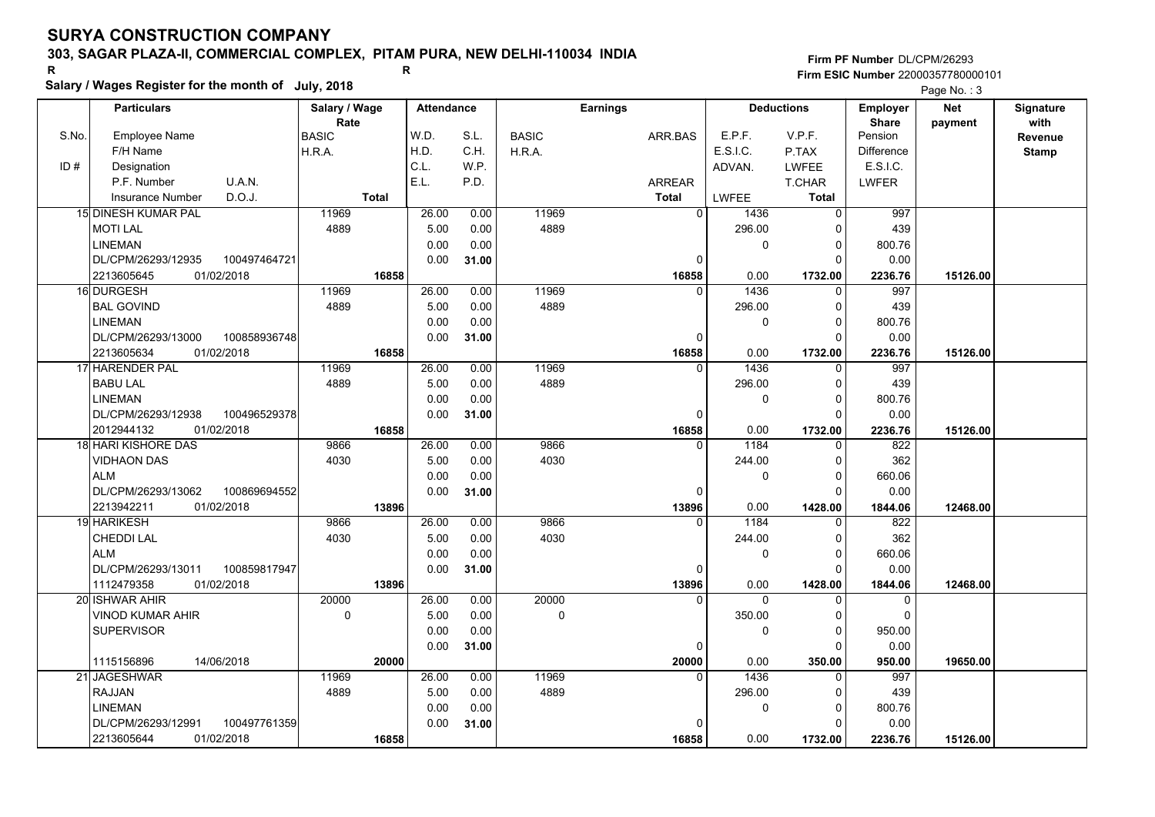## **303, SAGAR PLAZA-II, COMMERCIAL COMPLEX, PITAM PURA, NEW DELHI-110034 INDIA**

**Salary / Wages Register for the month of July, 2018 <sup>R</sup> <sup>R</sup>**

## **Firm PF Number**DL/CPM/26293**Firm ESIC Number** 22000357780000101

|       | <b>Particulars</b>                              |              | Salary / Wage        |              | <b>Attendance</b> |       |              | <b>Earnings</b> |                              | <b>Deductions</b>    | Employer                   | Net      | Signature       |
|-------|-------------------------------------------------|--------------|----------------------|--------------|-------------------|-------|--------------|-----------------|------------------------------|----------------------|----------------------------|----------|-----------------|
| S.No. | Employee Name                                   |              | Rate<br><b>BASIC</b> |              | W.D.              | S.L.  | <b>BASIC</b> | ARR.BAS         | E.P.F.                       | V.P.F.               | <b>Share</b><br>Pension    | payment  | with<br>Revenue |
|       | F/H Name                                        |              | H.R.A.               |              | H.D.              | C.H.  | H.R.A.       |                 | E.S.I.C.                     | P.TAX                | <b>Difference</b>          |          |                 |
| ID#   | Designation                                     |              |                      |              | C.L.              | W.P.  |              |                 | ADVAN.                       | <b>LWFEE</b>         | E.S.I.C.                   |          | <b>Stamp</b>    |
|       | U.A.N.<br>P.F. Number                           |              |                      |              | E.L.              | P.D.  |              | <b>ARREAR</b>   |                              | T.CHAR               | <b>LWFER</b>               |          |                 |
|       | D.O.J.<br><b>Insurance Number</b>               |              |                      | <b>Total</b> |                   |       |              | <b>Total</b>    | LWFEE                        | <b>Total</b>         |                            |          |                 |
|       | 15 DINESH KUMAR PAL                             |              | 11969                |              | 26.00             | 0.00  | 11969        |                 | $\mathbf{0}$                 | $\Omega$             | 997                        |          |                 |
|       |                                                 |              | 4889                 |              |                   | 0.00  | 4889         |                 | 1436<br>296.00               | 0                    | 439                        |          |                 |
|       | <b>MOTILAL</b><br><b>LINEMAN</b>                |              |                      |              | 5.00<br>0.00      | 0.00  |              |                 |                              | $\Omega$             | 800.76                     |          |                 |
|       | DL/CPM/26293/12935                              | 100497464721 |                      |              | 0.00              |       |              |                 | 0<br>$\Omega$                | $\Omega$             | 0.00                       |          |                 |
|       | 2213605645<br>01/02/2018                        |              |                      | 16858        |                   | 31.00 |              |                 | 0.00                         |                      |                            |          |                 |
|       | 16 DURGESH                                      |              | 11969                |              | 26.00             | 0.00  | 11969        | 16858           | 1436<br>$\Omega$             | 1732.00<br>$\Omega$  | 2236.76<br>997             | 15126.00 |                 |
|       |                                                 |              |                      |              |                   |       | 4889         |                 |                              |                      |                            |          |                 |
|       | <b>BAL GOVIND</b><br><b>LINEMAN</b>             |              | 4889                 |              | 5.00              | 0.00  |              |                 | 296.00                       | 0                    | 439                        |          |                 |
|       |                                                 |              |                      |              | 0.00              | 0.00  |              |                 | 0<br>$\Omega$                | 0<br>$\Omega$        | 800.76                     |          |                 |
|       | DL/CPM/26293/13000                              | 100858936748 |                      |              | 0.00              | 31.00 |              |                 |                              |                      | 0.00                       |          |                 |
|       | 2213605634<br>01/02/2018                        |              |                      | 16858        | 26.00             |       | 11969        | 16858           | 0.00<br>1436<br>$\Omega$     | 1732.00              | 2236.76<br>997             | 15126.00 |                 |
|       | 17 HARENDER PAL                                 |              | 11969                |              |                   | 0.00  |              |                 |                              | $\Omega$<br>$\Omega$ |                            |          |                 |
|       | <b>BABU LAL</b><br><b>LINEMAN</b>               |              | 4889                 |              | 5.00<br>0.00      | 0.00  | 4889         |                 | 296.00                       |                      | 439                        |          |                 |
|       |                                                 |              |                      |              |                   | 0.00  |              |                 | 0<br>$\Omega$                | $\Omega$<br>$\Omega$ | 800.76                     |          |                 |
|       | DL/CPM/26293/12938                              | 100496529378 |                      | 16858        | 0.00              | 31.00 |              | 16858           |                              |                      | 0.00                       |          |                 |
|       | 01/02/2018<br>2012944132<br>18 HARI KISHORE DAS |              | 9866                 |              | 26.00             | 0.00  | 9866         |                 | 0.00<br>1184                 | 1732.00<br>$\Omega$  | 2236.76<br>822             | 15126.00 |                 |
|       | <b>VIDHAON DAS</b>                              |              | 4030                 |              | 5.00              | 0.00  | 4030         |                 | 244.00                       | $\Omega$             | 362                        |          |                 |
|       |                                                 |              |                      |              | 0.00              |       |              |                 | 0                            | $\Omega$             | 660.06                     |          |                 |
|       | <b>ALM</b>                                      |              |                      |              | 0.00              | 0.00  |              |                 |                              | $\Omega$             |                            |          |                 |
|       | DL/CPM/26293/13062<br>2213942211                | 100869694552 |                      |              |                   | 31.00 |              |                 | $\Omega$                     |                      | 0.00                       |          |                 |
|       | 01/02/2018<br>19 HARIKESH                       |              | 9866                 | 13896        | 26.00             | 0.00  | 9866         | 13896           | 0.00<br>1184                 | 1428.00              | 1844.06<br>822             | 12468.00 |                 |
|       |                                                 |              |                      |              |                   |       |              |                 |                              | $\Omega$             |                            |          |                 |
|       | CHEDDI LAL                                      |              | 4030                 |              | 5.00              | 0.00  | 4030         |                 | 244.00                       |                      | 362                        |          |                 |
|       | <b>ALM</b>                                      |              |                      |              | 0.00              | 0.00  |              |                 | 0                            | 0<br>$\Omega$        | 660.06                     |          |                 |
|       | DL/CPM/26293/13011                              | 100859817947 |                      |              | 0.00              | 31.00 |              |                 | $\Omega$                     |                      | 0.00                       |          |                 |
|       | 1112479358<br>01/02/2018<br>20 ISHWAR AHIR      |              | 20000                | 13896        | 26.00             | 0.00  | 20000        | 13896           | 0.00<br>$\Omega$<br>$\Omega$ | 1428.00<br>$\Omega$  | 1844.06                    | 12468.00 |                 |
|       |                                                 |              |                      |              |                   |       | 0            |                 |                              | $\Omega$             | $\mathbf 0$<br>$\mathbf 0$ |          |                 |
|       | VINOD KUMAR AHIR                                |              | $\mathbf 0$          |              | 5.00              | 0.00  |              |                 | 350.00                       |                      |                            |          |                 |
|       | <b>SUPERVISOR</b>                               |              |                      |              | 0.00              | 0.00  |              |                 | 0                            | $\Omega$             | 950.00                     |          |                 |
|       |                                                 |              |                      |              | 0.00              | 31.00 |              |                 | 0                            | ∩                    | 0.00                       |          |                 |
|       | 1115156896<br>14/06/2018                        |              | 11969                | 20000        |                   |       |              | 20000           | 0.00<br>1436<br>$\Omega$     | 350.00               | 950.00                     | 19650.00 |                 |
|       | 21 JAGESHWAR                                    |              |                      |              | 26.00             | 0.00  | 11969        |                 |                              | $\Omega$             | 997                        |          |                 |
|       | <b>RAJJAN</b>                                   |              | 4889                 |              | 5.00              | 0.00  | 4889         |                 | 296.00                       | $\Omega$             | 439                        |          |                 |
|       | <b>LINEMAN</b>                                  |              |                      |              | 0.00              | 0.00  |              |                 | 0                            | 0                    | 800.76                     |          |                 |
|       | DL/CPM/26293/12991                              | 100497761359 |                      |              | 0.00              | 31.00 |              |                 |                              | $\Omega$             | 0.00                       |          |                 |
|       | 01/02/2018<br>2213605644                        |              |                      | 16858        |                   |       |              | 16858           | 0.00                         | 1732.00              | 2236.76                    | 15126.00 |                 |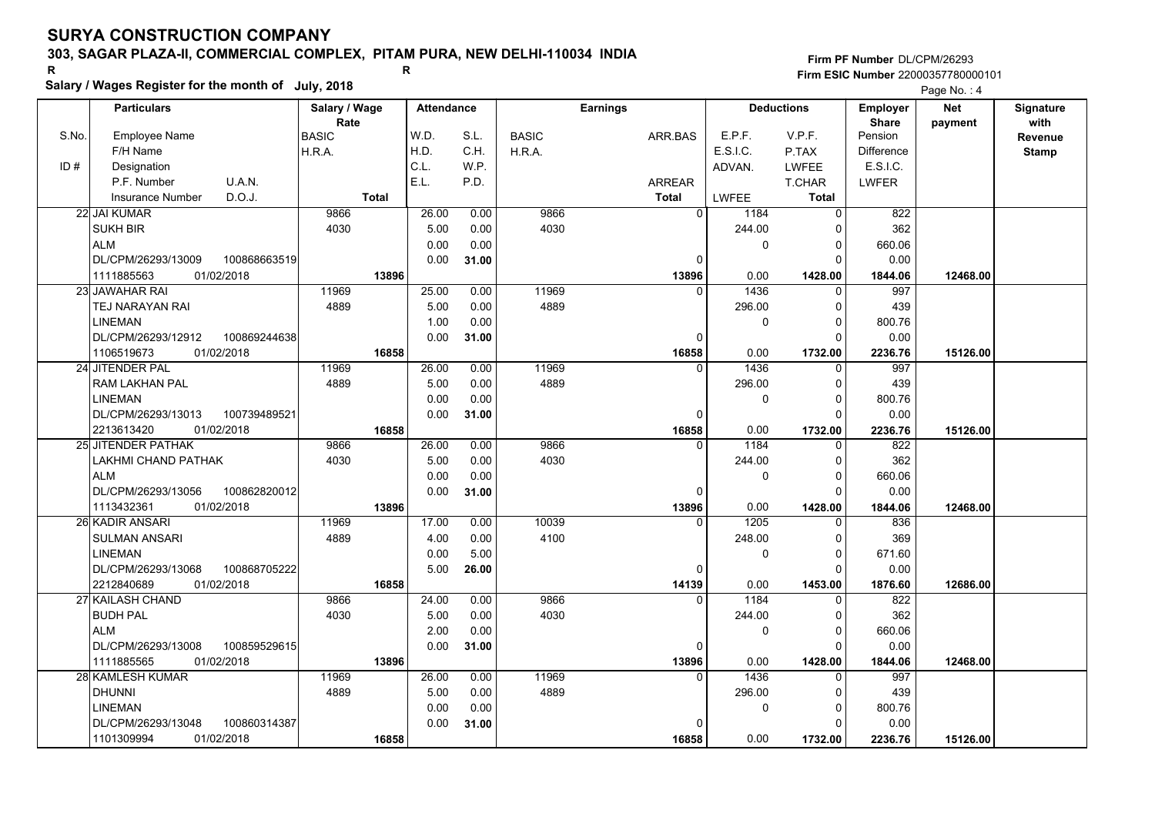## **303, SAGAR PLAZA-II, COMMERCIAL COMPLEX, PITAM PURA, NEW DELHI-110034 INDIA**

# **Salary / Wages Register for the month of July, 2018 <sup>R</sup> <sup>R</sup>**

**Firm PF Number**DL/CPM/26293**Firm ESIC Number** 22000357780000101

|       | <b>Particulars</b>                 | Salary / Wage        | <b>Attendance</b> |       |              | <b>Earnings</b> |              | <b>Deductions</b> | Employer                | <b>Net</b> | Signature       |
|-------|------------------------------------|----------------------|-------------------|-------|--------------|-----------------|--------------|-------------------|-------------------------|------------|-----------------|
| S.No. | <b>Employee Name</b>               | Rate<br><b>BASIC</b> | W.D.              | S.L.  | <b>BASIC</b> | ARR.BAS         | E.P.F.       | V.P.F.            | <b>Share</b><br>Pension | payment    | with<br>Revenue |
|       | F/H Name                           | H.R.A.               | H.D.              | C.H.  | H.R.A.       |                 | E.S.I.C.     | P.TAX             | <b>Difference</b>       |            | <b>Stamp</b>    |
| ID#   | Designation                        |                      | C.L.              | W.P.  |              |                 | ADVAN.       | <b>LWFEE</b>      | E.S.I.C.                |            |                 |
|       | U.A.N.<br>P.F. Number              |                      | E.L.              | P.D.  |              | ARREAR          |              | T.CHAR            | <b>LWFER</b>            |            |                 |
|       | D.O.J.<br><b>Insurance Number</b>  | <b>Total</b>         |                   |       |              | <b>Total</b>    | <b>LWFEE</b> | <b>Total</b>      |                         |            |                 |
|       | 22 JAI KUMAR                       | 9866                 | 26.00             | 0.00  | 9866         | $\overline{0}$  | 1184         | $\Omega$          | 822                     |            |                 |
|       | <b>SUKH BIR</b>                    | 4030                 | 5.00              | 0.00  | 4030         |                 | 244.00       | $\Omega$          | 362                     |            |                 |
|       | <b>ALM</b>                         |                      | 0.00              | 0.00  |              |                 | 0            | 0                 | 660.06                  |            |                 |
|       | DL/CPM/26293/13009<br>100868663519 |                      | 0.00              | 31.00 |              | $\Omega$        |              | $\Omega$          | 0.00                    |            |                 |
|       | 01/02/2018<br>1111885563           | 13896                |                   |       |              | 13896           | 0.00         | 1428.00           | 1844.06                 | 12468.00   |                 |
|       | 23 JAWAHAR RAI                     | 11969                | 25.00             | 0.00  | 11969        | $\Omega$        | 1436         | $\Omega$          | 997                     |            |                 |
|       | TEJ NARAYAN RAI                    | 4889                 | 5.00              | 0.00  | 4889         |                 | 296.00       | 0                 | 439                     |            |                 |
|       | <b>LINEMAN</b>                     |                      | 1.00              | 0.00  |              |                 | 0            | $\Omega$          | 800.76                  |            |                 |
|       | DL/CPM/26293/12912<br>100869244638 |                      | 0.00              | 31.00 |              | 0               |              | $\Omega$          | 0.00                    |            |                 |
|       | 01/02/2018<br>1106519673           | 16858                |                   |       |              | 16858           | 0.00         | 1732.00           | 2236.76                 | 15126.00   |                 |
|       | 24 JITENDER PAL                    | 11969                | 26.00             | 0.00  | 11969        | $\Omega$        | 1436         | $\Omega$          | 997                     |            |                 |
|       | RAM LAKHAN PAL                     | 4889                 | 5.00              | 0.00  | 4889         |                 | 296.00       | $\mathbf 0$       | 439                     |            |                 |
|       | <b>LINEMAN</b>                     |                      | 0.00              | 0.00  |              |                 | 0            | $\mathbf 0$       | 800.76                  |            |                 |
|       | DL/CPM/26293/13013<br>100739489521 |                      | 0.00              | 31.00 |              | $\Omega$        |              | $\Omega$          | 0.00                    |            |                 |
|       | 2213613420<br>01/02/2018           | 16858                |                   |       |              | 16858           | 0.00         | 1732.00           | 2236.76                 | 15126.00   |                 |
|       | 25 JITENDER PATHAK                 | 9866                 | 26.00             | 0.00  | 9866         |                 | 1184         | $\Omega$          | 822                     |            |                 |
|       | LAKHMI CHAND PATHAK                | 4030                 | 5.00              | 0.00  | 4030         |                 | 244.00       | $\Omega$          | 362                     |            |                 |
|       | <b>ALM</b>                         |                      | 0.00              | 0.00  |              |                 | 0            | 0                 | 660.06                  |            |                 |
|       | 100862820012<br>DL/CPM/26293/13056 |                      | 0.00              | 31.00 |              | <sup>0</sup>    |              | $\Omega$          | 0.00                    |            |                 |
|       | 1113432361<br>01/02/2018           | 13896                |                   |       |              | 13896           | 0.00         | 1428.00           | 1844.06                 | 12468.00   |                 |
|       | 26 KADIR ANSARI                    | 11969                | 17.00             | 0.00  | 10039        | $\Omega$        | 1205         |                   | 836                     |            |                 |
|       | <b>SULMAN ANSARI</b>               | 4889                 | 4.00              | 0.00  | 4100         |                 | 248.00       | 0                 | 369                     |            |                 |
|       | <b>LINEMAN</b>                     |                      | 0.00              | 5.00  |              |                 | 0            | 0                 | 671.60                  |            |                 |
|       | 100868705222<br>DL/CPM/26293/13068 |                      | 5.00              | 26.00 |              | 0               |              | $\Omega$          | 0.00                    |            |                 |
|       | 01/02/2018<br>2212840689           | 16858                |                   |       |              | 14139           | 0.00         | 1453.00           | 1876.60                 | 12686.00   |                 |
|       | 27 KAILASH CHAND                   | 9866                 | 24.00             | 0.00  | 9866         | $\Omega$        | 1184         | $\Omega$          | 822                     |            |                 |
|       | <b>BUDH PAL</b>                    | 4030                 | 5.00              | 0.00  | 4030         |                 | 244.00       | $\Omega$          | 362                     |            |                 |
|       | <b>ALM</b>                         |                      | 2.00              | 0.00  |              |                 | 0            | 0                 | 660.06                  |            |                 |
|       | DL/CPM/26293/13008<br>100859529615 |                      | 0.00              | 31.00 |              | 0               |              | $\Omega$          | 0.00                    |            |                 |
|       | 1111885565<br>01/02/2018           | 13896                |                   |       |              | 13896           | 0.00         | 1428.00           | 1844.06                 | 12468.00   |                 |
|       | 28 KAMLESH KUMAR                   | 11969                | 26.00             | 0.00  | 11969        | $\Omega$        | 1436         | $\Omega$          | 997                     |            |                 |
|       | <b>DHUNNI</b>                      | 4889                 | 5.00              | 0.00  | 4889         |                 | 296.00       | 0                 | 439                     |            |                 |
|       | <b>LINEMAN</b>                     |                      | 0.00              | 0.00  |              |                 | 0            | $\mathbf 0$       | 800.76                  |            |                 |
|       | DL/CPM/26293/13048<br>100860314387 |                      | 0.00              | 31.00 |              | <sup>0</sup>    |              | $\Omega$          | 0.00                    |            |                 |
|       | 01/02/2018<br>1101309994           | 16858                |                   |       |              | 16858           | 0.00         | 1732.00           | 2236.76                 | 15126.00   |                 |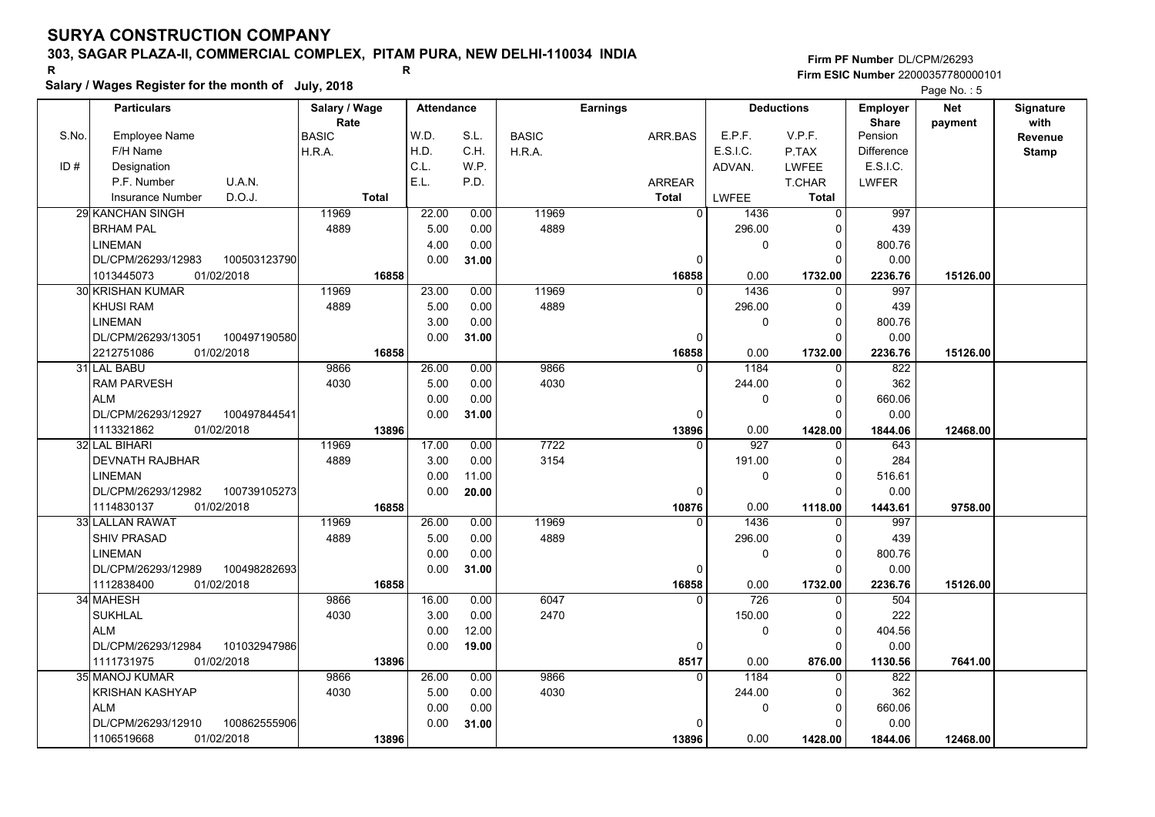## **303, SAGAR PLAZA-II, COMMERCIAL COMPLEX, PITAM PURA, NEW DELHI-110034 INDIA**

**Salary / Wages Register for the month of July, 2018 <sup>R</sup> <sup>R</sup>**

### **Firm PF Number**DL/CPM/26293**Firm ESIC Number** 22000357780000101

|       | <b>Particulars</b>         |              | Salary / Wage        |              | <b>Attendance</b> |       |              | <b>Earnings</b> |                       | <b>Deductions</b> | Employer                | <b>Net</b> | Signature       |
|-------|----------------------------|--------------|----------------------|--------------|-------------------|-------|--------------|-----------------|-----------------------|-------------------|-------------------------|------------|-----------------|
| S.No. | <b>Employee Name</b>       |              | Rate<br><b>BASIC</b> |              | W.D.              | S.L.  | <b>BASIC</b> | ARR.BAS         | E.P.F.                | V.P.F.            | <b>Share</b><br>Pension | payment    | with<br>Revenue |
|       | F/H Name                   |              | H.R.A.               |              | H.D.              | C.H.  | H.R.A.       |                 | E.S.I.C.              | P.TAX             | <b>Difference</b>       |            | <b>Stamp</b>    |
| ID#   | Designation                |              |                      |              | C.L.              | W.P.  |              |                 | ADVAN.                | <b>LWFEE</b>      | E.S.I.C.                |            |                 |
|       | U.A.N.<br>P.F. Number      |              |                      |              | E.L.              | P.D.  |              | ARREAR          |                       | T.CHAR            | LWFER                   |            |                 |
|       | D.O.J.<br>Insurance Number |              |                      | <b>Total</b> |                   |       |              | <b>Total</b>    | LWFEE                 | Total             |                         |            |                 |
|       | 29 KANCHAN SINGH           |              | 11969                |              | 22.00             | 0.00  | 11969        |                 | 0<br>1436             | $\Omega$          | 997                     |            |                 |
|       | <b>BRHAM PAL</b>           |              | 4889                 |              | 5.00              | 0.00  | 4889         |                 | 296.00                | ŋ                 | 439                     |            |                 |
|       | <b>LINEMAN</b>             |              |                      |              | 4.00              | 0.00  |              |                 |                       | 0<br>$\Omega$     | 800.76                  |            |                 |
|       | DL/CPM/26293/12983         | 100503123790 |                      |              | 0.00              | 31.00 |              |                 | 0                     | $\Omega$          | 0.00                    |            |                 |
|       | 01/02/2018<br>1013445073   |              |                      | 16858        |                   |       |              | 16858           | 0.00                  | 1732.00           | 2236.76                 | 15126.00   |                 |
|       | <b>30 KRISHAN KUMAR</b>    |              | 11969                |              | 23.00             | 0.00  | 11969        |                 | 1436<br>$\Omega$      | $\Omega$          | 997                     |            |                 |
|       | <b>KHUSI RAM</b>           |              | 4889                 |              | 5.00              | 0.00  | 4889         |                 | 296.00                | <sup>0</sup>      | 439                     |            |                 |
|       | <b>LINEMAN</b>             |              |                      |              | 3.00              | 0.00  |              |                 |                       | 0<br>$\Omega$     | 800.76                  |            |                 |
|       | DL/CPM/26293/13051         | 100497190580 |                      |              | 0.00              | 31.00 |              |                 | 0                     | $\Omega$          | 0.00                    |            |                 |
|       | 01/02/2018<br>2212751086   |              |                      | 16858        |                   |       |              | 16858           | 0.00                  | 1732.00           | 2236.76                 | 15126.00   |                 |
|       | 31 LAL BABU                |              | 9866                 |              | 26.00             | 0.00  | 9866         |                 | 1184<br>$\Omega$      | $\Omega$          | 822                     |            |                 |
|       | <b>RAM PARVESH</b>         |              | 4030                 |              | 5.00              | 0.00  | 4030         |                 | 244.00                | $\Omega$          | 362                     |            |                 |
|       | <b>ALM</b>                 |              |                      |              | 0.00              | 0.00  |              |                 |                       | 0<br>$\Omega$     | 660.06                  |            |                 |
|       | DL/CPM/26293/12927         | 100497844541 |                      |              | 0.00              | 31.00 |              |                 | $\mathbf{0}$          |                   | 0.00                    |            |                 |
|       | 1113321862<br>01/02/2018   |              |                      | 13896        |                   |       |              | 13896           | 0.00                  | 1428.00           | 1844.06                 | 12468.00   |                 |
|       | 32 LAL BIHARI              |              | 11969                |              | 17.00             | 0.00  | 7722         |                 | $\overline{927}$<br>0 | 0                 | 643                     |            |                 |
|       | <b>DEVNATH RAJBHAR</b>     |              | 4889                 |              | 3.00              | 0.00  | 3154         |                 | 191.00                | $\Omega$          | 284                     |            |                 |
|       | <b>LINEMAN</b>             |              |                      |              | 0.00              | 11.00 |              |                 |                       | 0<br>$\Omega$     | 516.61                  |            |                 |
|       | DL/CPM/26293/12982         | 100739105273 |                      |              | 0.00              | 20.00 |              |                 | 0                     | O                 | 0.00                    |            |                 |
|       | 1114830137<br>01/02/2018   |              |                      | 16858        |                   |       |              | 10876           | 0.00                  | 1118.00           | 1443.61                 | 9758.00    |                 |
|       | 33 LALLAN RAWAT            |              | 11969                |              | 26.00             | 0.00  | 11969        |                 | 1436<br>$\Omega$      | ∩                 | 997                     |            |                 |
|       | <b>SHIV PRASAD</b>         |              | 4889                 |              | 5.00              | 0.00  | 4889         |                 | 296.00                | $\Omega$          | 439                     |            |                 |
|       | <b>LINEMAN</b>             |              |                      |              | 0.00              | 0.00  |              |                 |                       | 0<br>$\Omega$     | 800.76                  |            |                 |
|       | DL/CPM/26293/12989         | 100498282693 |                      |              | 0.00              | 31.00 |              |                 | 0                     | $\Omega$          | 0.00                    |            |                 |
|       | 1112838400<br>01/02/2018   |              |                      | 16858        |                   |       |              | 16858           | 0.00                  | 1732.00           | 2236.76                 | 15126.00   |                 |
|       | 34 MAHESH                  |              | 9866                 |              | 16.00             | 0.00  | 6047         |                 | 726<br>$\Omega$       | $\Omega$          | 504                     |            |                 |
|       | <b>SUKHLAL</b>             |              | 4030                 |              | 3.00              | 0.00  | 2470         |                 | 150.00                | $\Omega$          | 222                     |            |                 |
|       | <b>ALM</b>                 |              |                      |              | 0.00              | 12.00 |              |                 |                       | 0<br>$\Omega$     | 404.56                  |            |                 |
|       | DL/CPM/26293/12984         | 101032947986 |                      |              | 0.00              | 19.00 |              |                 | 0                     | $\Omega$          | 0.00                    |            |                 |
|       | 01/02/2018<br>1111731975   |              |                      | 13896        |                   |       |              | 8517            | 0.00                  | 876.00            | 1130.56                 | 7641.00    |                 |
|       | 35 MANOJ KUMAR             |              | 9866                 |              | 26.00             | 0.00  | 9866         |                 | 1184<br>$\Omega$      | $\Omega$          | 822                     |            |                 |
|       | <b>KRISHAN KASHYAP</b>     |              | 4030                 |              | 5.00              | 0.00  | 4030         |                 | 244.00                | <sup>0</sup>      | 362                     |            |                 |
|       | <b>ALM</b>                 |              |                      |              | 0.00              | 0.00  |              |                 |                       | 0<br>0            | 660.06                  |            |                 |
|       | DL/CPM/26293/12910         | 100862555906 |                      |              | 0.00              | 31.00 |              |                 | $\Omega$              |                   | 0.00                    |            |                 |
|       | 01/02/2018<br>1106519668   |              |                      | 13896        |                   |       |              | 13896           | 0.00                  | 1428.00           | 1844.06                 | 12468.00   |                 |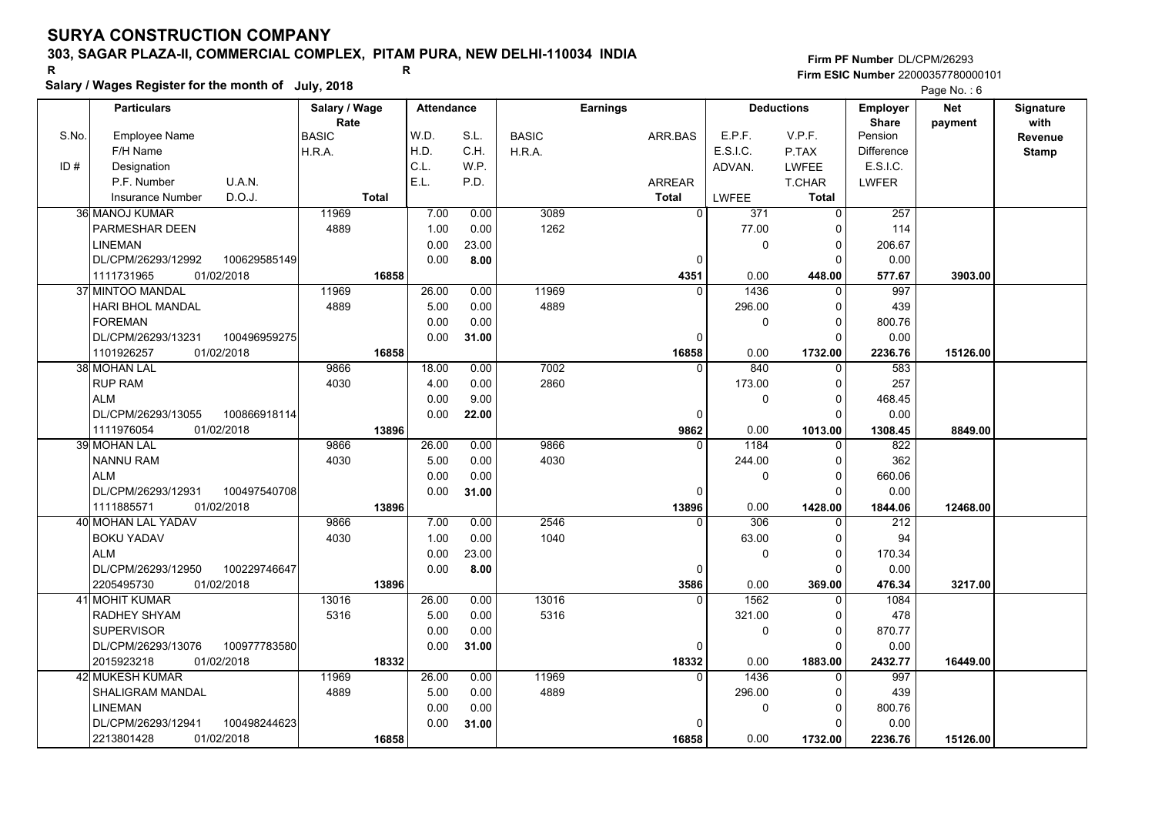## **303, SAGAR PLAZA-II, COMMERCIAL COMPLEX, PITAM PURA, NEW DELHI-110034 INDIA**

**Salary / Wages Register for the month of July, 2018 <sup>R</sup> <sup>R</sup>**

**Firm PF Number**DL/CPM/26293**Firm ESIC Number** 22000357780000101

|       | <b>Particulars</b>                               | Salary / Wage        | <b>Attendance</b> |       |              | <b>Earnings</b> |                          | <b>Deductions</b>       | Employer                | <b>Net</b> | Signature       |
|-------|--------------------------------------------------|----------------------|-------------------|-------|--------------|-----------------|--------------------------|-------------------------|-------------------------|------------|-----------------|
| S.No. | Employee Name                                    | Rate<br><b>BASIC</b> | W.D.              | S.L.  | <b>BASIC</b> | ARR.BAS         | E.P.F.                   | V.P.F.                  | <b>Share</b><br>Pension | payment    | with<br>Revenue |
|       | F/H Name                                         | H.R.A.               | H.D.              | C.H.  | H.R.A.       |                 | E.S.I.C.                 | P.TAX                   | <b>Difference</b>       |            | <b>Stamp</b>    |
| ID#   | Designation                                      |                      | C.L.              | W.P.  |              |                 | ADVAN.                   | <b>LWFEE</b>            | E.S.I.C.                |            |                 |
|       | U.A.N.<br>P.F. Number                            |                      | E.L.              | P.D.  |              | <b>ARREAR</b>   |                          | T.CHAR                  | <b>LWFER</b>            |            |                 |
|       | D.O.J.<br><b>Insurance Number</b>                | <b>Total</b>         |                   |       |              | <b>Total</b>    | <b>LWFEE</b>             | <b>Total</b>            |                         |            |                 |
|       | 36 MANOJ KUMAR                                   | 11969                | 7.00              | 0.00  | 3089         |                 | $\overline{0}$<br>371    | 0                       | 257                     |            |                 |
|       | PARMESHAR DEEN                                   | 4889                 | 1.00              | 0.00  | 1262         |                 | 77.00                    | 0                       | 114                     |            |                 |
|       | <b>LINEMAN</b>                                   |                      | 0.00              | 23.00 |              |                 | 0                        | $\mathbf 0$             | 206.67                  |            |                 |
|       | DL/CPM/26293/12992<br>100629585149               |                      | 0.00              | 8.00  |              | 0               |                          | $\Omega$                | 0.00                    |            |                 |
|       | 1111731965<br>01/02/2018                         | 16858                |                   |       |              | 4351            | 0.00                     | 448.00                  | 577.67                  | 3903.00    |                 |
|       | 37 MINTOO MANDAL                                 | 11969                | 26.00             | 0.00  | 11969        |                 | 1436<br>$\Omega$         | 0                       | 997                     |            |                 |
|       | HARI BHOL MANDAL                                 | 4889                 | 5.00              | 0.00  | 4889         |                 | 296.00                   | $\mathbf 0$             | 439                     |            |                 |
|       | <b>FOREMAN</b>                                   |                      | 0.00              | 0.00  |              |                 | 0                        | $\overline{0}$          | 800.76                  |            |                 |
|       | DL/CPM/26293/13231<br>100496959275               |                      | 0.00              | 31.00 |              | $\Omega$        |                          | $\Omega$                | 0.00                    |            |                 |
|       | 1101926257<br>01/02/2018                         | 16858                |                   |       |              | 16858           | 0.00                     | 1732.00                 | 2236.76                 | 15126.00   |                 |
|       | 38 MOHAN LAL                                     | 9866                 | 18.00             | 0.00  | 7002         |                 | 840<br>$\Omega$          | $\mathbf 0$             | 583                     |            |                 |
|       | <b>RUP RAM</b>                                   | 4030                 | 4.00              | 0.00  | 2860         |                 | 173.00                   | $\mathbf 0$             | 257                     |            |                 |
|       | <b>ALM</b>                                       |                      | 0.00              | 9.00  |              |                 | 0                        | $\mathbf 0$             | 468.45                  |            |                 |
|       | DL/CPM/26293/13055<br>100866918114               |                      | 0.00              | 22.00 |              | $\Omega$        |                          | $\Omega$                | 0.00                    |            |                 |
|       | 1111976054<br>01/02/2018                         | 13896                |                   |       |              | 9862            | 0.00                     | 1013.00                 | 1308.45                 | 8849.00    |                 |
|       | 39 MOHAN LAL                                     | 9866                 | 26.00             | 0.00  | 9866         | $\Omega$        | 1184                     | $\mathbf 0$             | 822                     |            |                 |
|       | <b>NANNU RAM</b>                                 | 4030                 | 5.00              | 0.00  | 4030         |                 | 244.00                   | $\mathbf 0$             | 362                     |            |                 |
|       | <b>ALM</b>                                       |                      | 0.00              | 0.00  |              |                 | 0                        | $\overline{0}$          | 660.06                  |            |                 |
|       | DL/CPM/26293/12931<br>100497540708               |                      | 0.00              | 31.00 |              | $\Omega$        |                          | $\Omega$                | 0.00                    |            |                 |
|       | 1111885571<br>01/02/2018                         | 13896                |                   |       |              | 13896           | 0.00                     | 1428.00                 | 1844.06                 | 12468.00   |                 |
|       | 40 MOHAN LAL YADAV                               | 9866                 | 7.00              | 0.00  | 2546         |                 | 306<br>$\Omega$          | $\Omega$                | 212                     |            |                 |
|       | <b>BOKU YADAV</b>                                | 4030                 | 1.00              | 0.00  | 1040         |                 | 63.00                    | $\Omega$                | 94                      |            |                 |
|       | <b>ALM</b>                                       |                      | 0.00              | 23.00 |              |                 | 0                        | $\mathbf 0$             | 170.34                  |            |                 |
|       | DL/CPM/26293/12950<br>100229746647               |                      | 0.00              | 8.00  |              |                 | 0                        | $\mathbf 0$             | 0.00                    |            |                 |
|       | 2205495730<br>01/02/2018                         | 13896                |                   |       |              | 3586            | 0.00                     | 369.00                  | 476.34                  | 3217.00    |                 |
|       | 41 MOHIT KUMAR                                   | 13016                | 26.00             | 0.00  | 13016        |                 | 1562<br>$\Omega$         | $\Omega$                | 1084                    |            |                 |
|       | <b>RADHEY SHYAM</b>                              | 5316                 | 5.00              | 0.00  | 5316         |                 | 321.00                   | 0                       | 478                     |            |                 |
|       | <b>SUPERVISOR</b>                                |                      | 0.00              | 0.00  |              |                 | 0                        | $\mathbf 0$             | 870.77                  |            |                 |
|       | 100977783580<br>DL/CPM/26293/13076               |                      | 0.00              | 31.00 |              | 0               |                          | $\Omega$                | 0.00                    |            |                 |
|       | 2015923218<br>01/02/2018                         | 18332<br>11969       |                   |       | 11969        | 18332           | 0.00<br>1436<br>$\Omega$ | 1883.00                 | 2432.77                 | 16449.00   |                 |
|       | <b>42 MUKESH KUMAR</b>                           | 4889                 | 26.00             | 0.00  | 4889         |                 |                          | $\Omega$                | 997                     |            |                 |
|       | SHALIGRAM MANDAL                                 |                      | 5.00              | 0.00  |              |                 | 296.00                   | $\mathbf 0$             | 439                     |            |                 |
|       | <b>LINEMAN</b>                                   |                      | 0.00              | 0.00  |              | U               | 0                        | $\mathbf 0$<br>$\Omega$ | 800.76                  |            |                 |
|       | DL/CPM/26293/12941<br>100498244623<br>01/02/2018 |                      | 0.00              | 31.00 |              |                 | 0.00                     |                         | 0.00                    |            |                 |
|       | 2213801428                                       | 16858                |                   |       |              | 16858           |                          | 1732.00                 | 2236.76                 | 15126.00   |                 |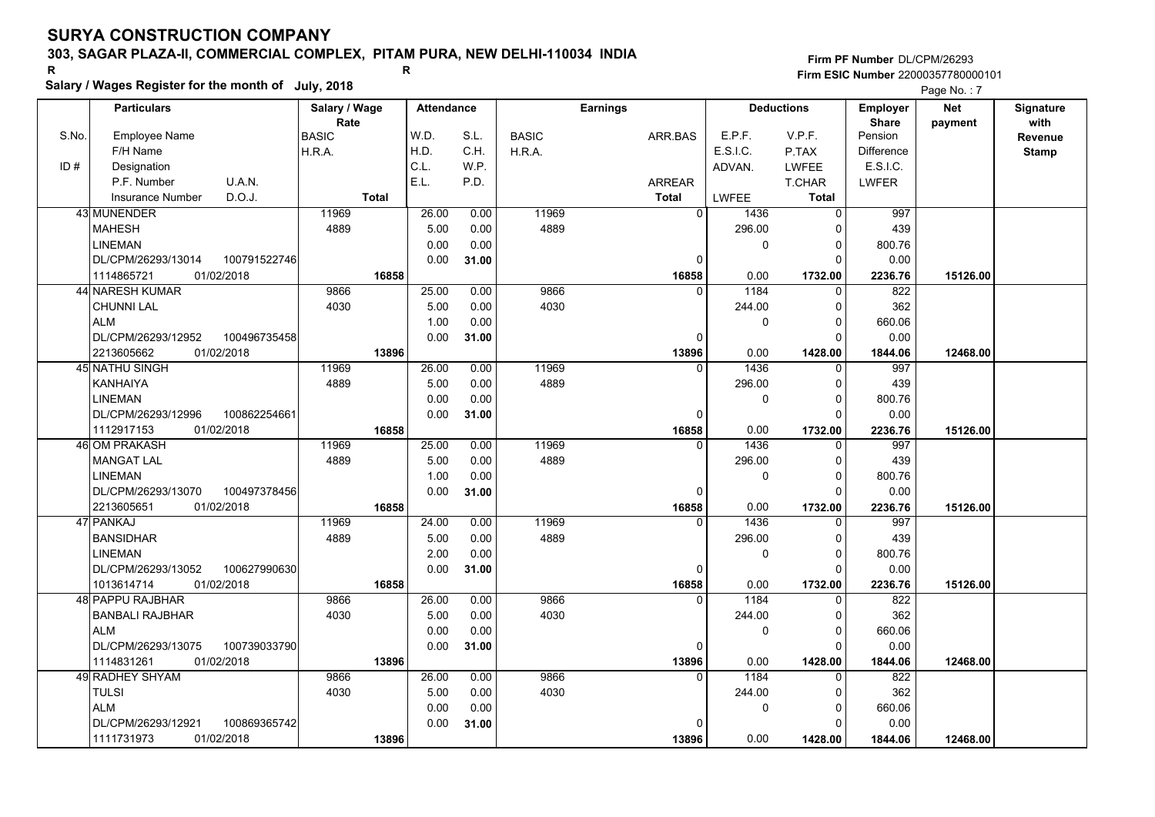## **303, SAGAR PLAZA-II, COMMERCIAL COMPLEX, PITAM PURA, NEW DELHI-110034 INDIA**

**Salary / Wages Register for the month of July, 2018 <sup>R</sup> <sup>R</sup>**

### **Firm PF Number**DL/CPM/26293**Firm ESIC Number** 22000357780000101

|       | <b>Particulars</b>                 | Salary / Wage | <b>Attendance</b> |       |              | <b>Earnings</b> |             | <b>Deductions</b> | <b>Employer</b>         | <b>Net</b> | Signature       |
|-------|------------------------------------|---------------|-------------------|-------|--------------|-----------------|-------------|-------------------|-------------------------|------------|-----------------|
| S.No. | Employee Name                      | Rate<br>BASIC | W.D.              | S.L.  | <b>BASIC</b> | ARR BAS         | E.P.F.      | V.P.F.            | <b>Share</b><br>Pension | payment    | with<br>Revenue |
|       | F/H Name                           | H.R.A.        | H.D.              | C.H.  | H.R.A.       |                 | E.S.I.C.    | P.TAX             | <b>Difference</b>       |            | <b>Stamp</b>    |
| ID#   | Designation                        |               | C.L.              | W.P.  |              |                 | ADVAN.      | LWFEE             | E.S.I.C.                |            |                 |
|       | U.A.N.<br>P.F. Number              |               | E.L.              | P.D.  |              | ARREAR          |             | T.CHAR            | <b>LWFER</b>            |            |                 |
|       | D.O.J.<br><b>Insurance Number</b>  | <b>Total</b>  |                   |       |              | <b>Total</b>    | LWFEE       | Total             |                         |            |                 |
|       | 43 MUNENDER                        | 11969         | 26.00             | 0.00  | 11969        | $\mathbf{0}$    | 1436        | 0                 | 997                     |            |                 |
|       | <b>MAHESH</b>                      | 4889          | 5.00              | 0.00  | 4889         |                 | 296.00      | $\Omega$          | 439                     |            |                 |
|       | <b>LINEMAN</b>                     |               | 0.00              | 0.00  |              |                 | 0           | 0                 | 800.76                  |            |                 |
|       | DL/CPM/26293/13014<br>100791522746 |               | 0.00              | 31.00 |              | $\Omega$        |             | $\Omega$          | 0.00                    |            |                 |
|       | 01/02/2018<br>1114865721           | 16858         |                   |       |              | 16858           | 0.00        | 1732.00           | 2236.76                 | 15126.00   |                 |
|       | 44 NARESH KUMAR                    | 9866          | 25.00             | 0.00  | 9866         | $\Omega$        | 1184        | $\Omega$          | 822                     |            |                 |
|       | CHUNNI LAL                         | 4030          | 5.00              | 0.00  | 4030         |                 | 244.00      | 0                 | 362                     |            |                 |
|       | <b>ALM</b>                         |               | 1.00              | 0.00  |              |                 | $\mathbf 0$ | $\Omega$          | 660.06                  |            |                 |
|       | DL/CPM/26293/12952<br>100496735458 |               | 0.00              | 31.00 |              | $\Omega$        |             | $\Omega$          | 0.00                    |            |                 |
|       | 01/02/2018<br>2213605662           | 13896         |                   |       |              | 13896           | 0.00        | 1428.00           | 1844.06                 | 12468.00   |                 |
|       | 45 NATHU SINGH                     | 11969         | 26.00             | 0.00  | 11969        | $\Omega$        | 1436        | $\Omega$          | 997                     |            |                 |
|       | <b>KANHAIYA</b>                    | 4889          | 5.00              | 0.00  | 4889         |                 | 296.00      | $\Omega$          | 439                     |            |                 |
|       | <b>LINEMAN</b>                     |               | 0.00              | 0.00  |              |                 | 0           | $\Omega$          | 800.76                  |            |                 |
|       | DL/CPM/26293/12996<br>100862254661 |               | 0.00              | 31.00 |              | $\Omega$        |             | $\Omega$          | 0.00                    |            |                 |
|       | 01/02/2018<br>1112917153           | 16858         |                   |       |              | 16858           | 0.00        | 1732.00           | 2236.76                 | 15126.00   |                 |
|       | 46 OM PRAKASH                      | 11969         | 25.00             | 0.00  | 11969        | $\Omega$        | 1436        | 0                 | 997                     |            |                 |
|       | <b>MANGAT LAL</b>                  | 4889          | 5.00              | 0.00  | 4889         |                 | 296.00      | $\Omega$          | 439                     |            |                 |
|       | <b>LINEMAN</b>                     |               | 1.00              | 0.00  |              |                 | $\mathbf 0$ | $\Omega$          | 800.76                  |            |                 |
|       | DL/CPM/26293/13070<br>100497378456 |               | 0.00              | 31.00 |              | $\Omega$        |             | $\Omega$          | 0.00                    |            |                 |
|       | 2213605651<br>01/02/2018           | 16858         |                   |       |              | 16858           | 0.00        | 1732.00           | 2236.76                 | 15126.00   |                 |
|       | 47 PANKAJ                          | 11969         | 24.00             | 0.00  | 11969        | $\Omega$        | 1436        | $\Omega$          | 997                     |            |                 |
|       | <b>BANSIDHAR</b>                   | 4889          | 5.00              | 0.00  | 4889         |                 | 296.00      | $\Omega$          | 439                     |            |                 |
|       | <b>LINEMAN</b>                     |               | 2.00              | 0.00  |              |                 | 0           | $\Omega$          | 800.76                  |            |                 |
|       | DL/CPM/26293/13052<br>100627990630 |               | 0.00              | 31.00 |              | $\Omega$        |             | $\Omega$          | 0.00                    |            |                 |
|       | 1013614714<br>01/02/2018           | 16858         |                   |       |              | 16858           | 0.00        | 1732.00           | 2236.76                 | 15126.00   |                 |
|       | 48 PAPPU RAJBHAR                   | 9866          | 26.00             | 0.00  | 9866         | $\Omega$        | 1184        | $\Omega$          | 822                     |            |                 |
|       | <b>BANBALI RAJBHAR</b>             | 4030          | 5.00              | 0.00  | 4030         |                 | 244.00      | $\Omega$          | 362                     |            |                 |
|       | <b>ALM</b>                         |               | 0.00              | 0.00  |              |                 | 0           | 0                 | 660.06                  |            |                 |
|       | DL/CPM/26293/13075<br>100739033790 |               | 0.00              | 31.00 |              | 0               |             | $\Omega$          | 0.00                    |            |                 |
|       | 01/02/2018<br>1114831261           | 13896         |                   |       |              | 13896           | 0.00        | 1428.00           | 1844.06                 | 12468.00   |                 |
|       | 49 RADHEY SHYAM                    | 9866          | 26.00             | 0.00  | 9866         | $\Omega$        | 1184        | $\Omega$          | 822                     |            |                 |
|       | <b>TULSI</b>                       | 4030          | 5.00              | 0.00  | 4030         |                 | 244.00      | $\Omega$          | 362                     |            |                 |
|       | <b>ALM</b>                         |               | 0.00              | 0.00  |              |                 | 0           | $\Omega$          | 660.06                  |            |                 |
|       | 100869365742<br>DL/CPM/26293/12921 |               | 0.00              | 31.00 |              |                 |             | O                 | 0.00                    |            |                 |
|       | 1111731973<br>01/02/2018           | 13896         |                   |       |              | 13896           | 0.00        | 1428.00           | 1844.06                 | 12468.00   |                 |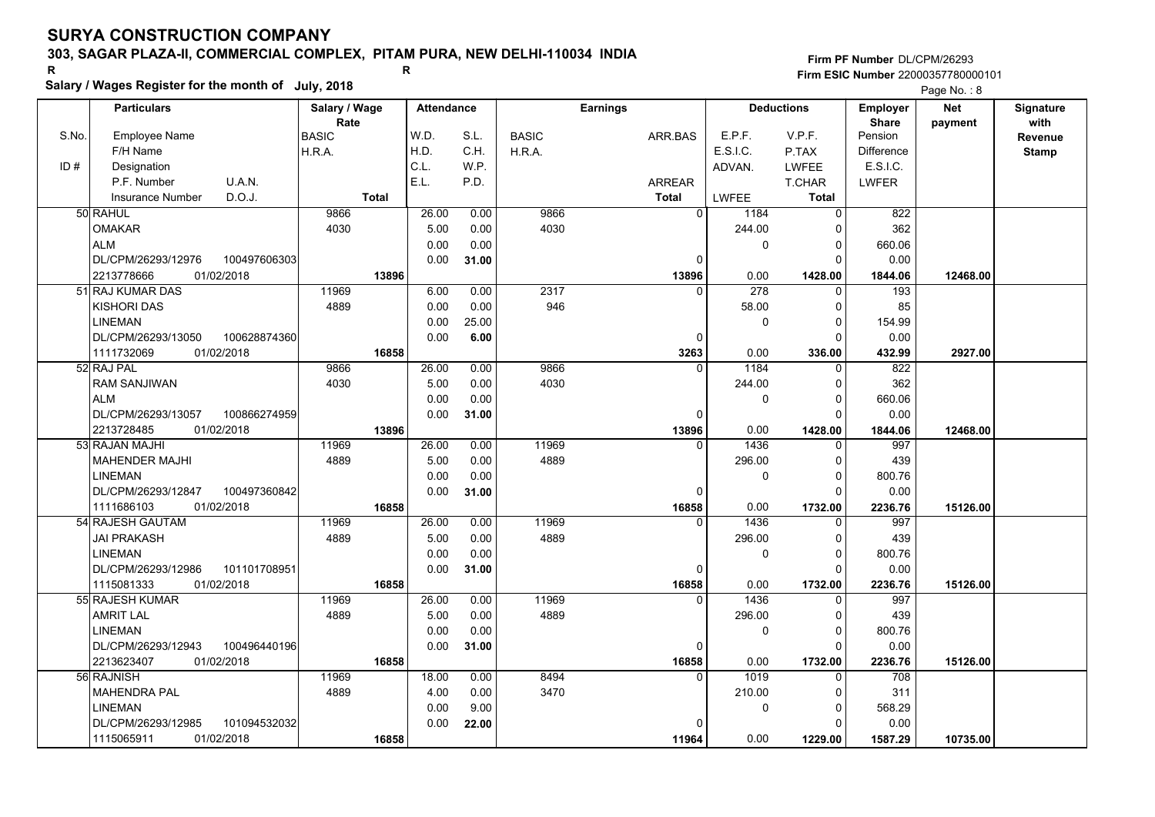## **303, SAGAR PLAZA-II, COMMERCIAL COMPLEX, PITAM PURA, NEW DELHI-110034 INDIA**

**Salary / Wages Register for the month of July, 2018 <sup>R</sup> <sup>R</sup>**

**Firm PF Number**DL/CPM/26293**Firm ESIC Number** 22000357780000101

|       | <b>Particulars</b>                                             | Salary / Wage        | <b>Attendance</b> |       |              | <b>Earnings</b> |          | <b>Deductions</b> | Employer                | <b>Net</b> | Signature       |
|-------|----------------------------------------------------------------|----------------------|-------------------|-------|--------------|-----------------|----------|-------------------|-------------------------|------------|-----------------|
| S.No. | <b>Employee Name</b>                                           | Rate<br><b>BASIC</b> | W.D.              | S.L.  | <b>BASIC</b> | ARR.BAS         | E.P.F.   | V.P.F.            | <b>Share</b><br>Pension | payment    | with<br>Revenue |
|       | F/H Name                                                       | H.R.A.               | H.D.              | C.H.  | H.R.A.       |                 | E.S.I.C. | P.TAX             | <b>Difference</b>       |            | <b>Stamp</b>    |
| ID#   | Designation                                                    |                      | C.L.              | W.P.  |              |                 | ADVAN.   | LWFEE             | E.S.I.C.                |            |                 |
|       | U.A.N.<br>P.F. Number                                          |                      | E.L.              | P.D.  |              | ARREAR          |          | T.CHAR            | <b>LWFER</b>            |            |                 |
|       | D.O.J.<br>Insurance Number                                     | <b>Total</b>         |                   |       |              | <b>Total</b>    | LWFEE    | <b>Total</b>      |                         |            |                 |
|       | 50 RAHUL                                                       | 9866                 | 26.00             | 0.00  | 9866         | 0               | 1184     | $\Omega$          | 822                     |            |                 |
|       | <b>OMAKAR</b>                                                  | 4030                 | 5.00              | 0.00  | 4030         |                 | 244.00   | ŋ                 | 362                     |            |                 |
|       | <b>ALM</b>                                                     |                      | 0.00              | 0.00  |              |                 | 0        | 0                 | 660.06                  |            |                 |
|       | DL/CPM/26293/12976<br>100497606303                             |                      | 0.00              | 31.00 |              | 0               |          | O                 | 0.00                    |            |                 |
|       | 2213778666<br>01/02/2018                                       | 13896                |                   |       |              | 13896           | 0.00     | 1428.00           | 1844.06                 | 12468.00   |                 |
|       | 51 RAJ KUMAR DAS                                               | 11969                | 6.00              | 0.00  | 2317         | $\Omega$        | 278      | $\Omega$          | 193                     |            |                 |
|       | <b>KISHORI DAS</b>                                             | 4889                 | 0.00              | 0.00  | 946          |                 | 58.00    | $\Omega$          | 85                      |            |                 |
|       | <b>LINEMAN</b>                                                 |                      | 0.00              | 25.00 |              |                 | 0        | $\Omega$          | 154.99                  |            |                 |
|       |                                                                |                      | 0.00              |       |              |                 |          | 0                 |                         |            |                 |
|       | DL/CPM/26293/13050<br>100628874360<br>1111732069<br>01/02/2018 | 16858                |                   | 6.00  |              | 0<br>3263       | 0.00     | 336.00            | 0.00<br>432.99          | 2927.00    |                 |
|       | 52 RAJ PAL                                                     | 9866                 | 26.00             | 0.00  | 9866         | $\Omega$        | 1184     | $\Omega$          | 822                     |            |                 |
|       | <b>RAM SANJIWAN</b>                                            | 4030                 | 5.00              | 0.00  | 4030         |                 | 244.00   | $\Omega$          | 362                     |            |                 |
|       | <b>ALM</b>                                                     |                      | 0.00              | 0.00  |              |                 | 0        | $\Omega$          | 660.06                  |            |                 |
|       |                                                                |                      |                   |       |              | $\mathbf 0$     |          | $\Omega$          | 0.00                    |            |                 |
|       | DL/CPM/26293/13057<br>100866274959<br>01/02/2018               | 13896                | 0.00              | 31.00 |              | 13896           | 0.00     | 1428.00           | 1844.06                 | 12468.00   |                 |
|       | 2213728485<br>53 RAJAN MAJHI                                   | 11969                | 26.00             | 0.00  | 11969        | $\Omega$        | 1436     | $\Omega$          | 997                     |            |                 |
|       | <b>MAHENDER MAJHI</b>                                          | 4889                 | 5.00              | 0.00  | 4889         |                 | 296.00   | $\Omega$          | 439                     |            |                 |
|       | <b>LINEMAN</b>                                                 |                      | 0.00              | 0.00  |              |                 | 0        | $\Omega$          | 800.76                  |            |                 |
|       | DL/CPM/26293/12847<br>100497360842                             |                      | 0.00              | 31.00 |              | 0               |          | $\Omega$          | 0.00                    |            |                 |
|       | 1111686103<br>01/02/2018                                       | 16858                |                   |       |              | 16858           | 0.00     | 1732.00           | 2236.76                 | 15126.00   |                 |
|       | 54 RAJESH GAUTAM                                               | 11969                | 26.00             | 0.00  | 11969        | $\Omega$        | 1436     |                   | 997                     |            |                 |
|       | <b>JAI PRAKASH</b>                                             | 4889                 | 5.00              | 0.00  | 4889         |                 | 296.00   | $\Omega$          | 439                     |            |                 |
|       | <b>LINEMAN</b>                                                 |                      | 0.00              | 0.00  |              |                 | 0        | $\Omega$          | 800.76                  |            |                 |
|       | DL/CPM/26293/12986<br>101101708951                             |                      | 0.00              | 31.00 |              | 0               |          | $\Omega$          | 0.00                    |            |                 |
|       | 01/02/2018<br>1115081333                                       | 16858                |                   |       |              | 16858           | 0.00     | 1732.00           | 2236.76                 | 15126.00   |                 |
|       | 55 RAJESH KUMAR                                                | 11969                | 26.00             | 0.00  | 11969        | $\Omega$        | 1436     |                   | 997                     |            |                 |
|       | <b>AMRIT LAL</b>                                               | 4889                 | 5.00              | 0.00  | 4889         |                 | 296.00   | 0                 | 439                     |            |                 |
|       | <b>LINEMAN</b>                                                 |                      | 0.00              | 0.00  |              |                 | 0        | 0                 | 800.76                  |            |                 |
|       | DL/CPM/26293/12943<br>100496440196                             |                      | 0.00              | 31.00 |              | $\Omega$        |          | ∩                 | 0.00                    |            |                 |
|       | 2213623407<br>01/02/2018                                       | 16858                |                   |       |              | 16858           | 0.00     | 1732.00           | 2236.76                 | 15126.00   |                 |
|       | 56 RAJNISH                                                     | 11969                | 18.00             | 0.00  | 8494         | $\Omega$        | 1019     | $\Omega$          | 708                     |            |                 |
|       | <b>MAHENDRA PAL</b>                                            | 4889                 | 4.00              | 0.00  | 3470         |                 | 210.00   | 0                 | 311                     |            |                 |
|       | <b>LINEMAN</b>                                                 |                      |                   | 9.00  |              |                 |          | $\Omega$          |                         |            |                 |
|       | DL/CPM/26293/12985<br>101094532032                             |                      | 0.00<br>0.00      |       |              | n               | 0        | n                 | 568.29<br>0.00          |            |                 |
|       |                                                                |                      |                   | 22.00 |              |                 |          |                   |                         |            |                 |
|       | 01/02/2018<br>1115065911                                       | 16858                |                   |       |              | 11964           | 0.00     | 1229.00           | 1587.29                 | 10735.00   |                 |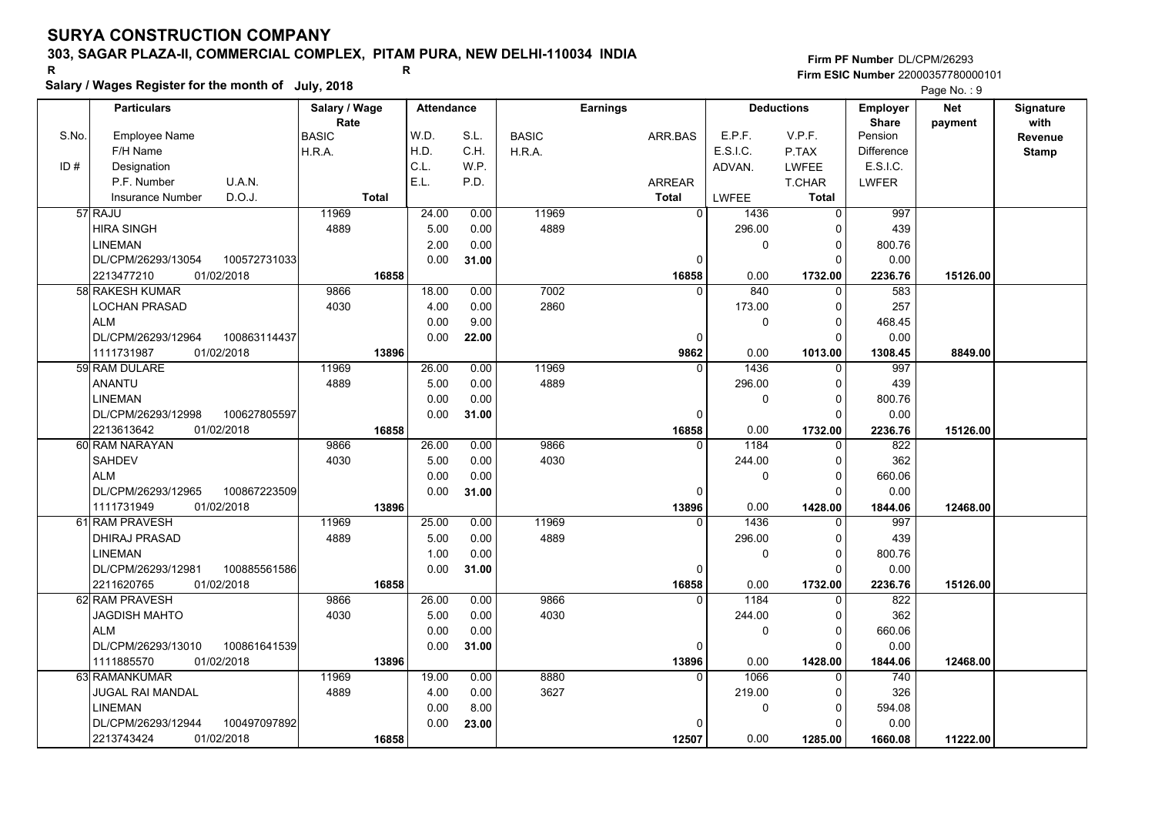## **303, SAGAR PLAZA-II, COMMERCIAL COMPLEX, PITAM PURA, NEW DELHI-110034 INDIA**

**Salary / Wages Register for the month of July, 2018 <sup>R</sup> <sup>R</sup> Firm PF Number**DL/CPM/26293**Firm ESIC Number** 22000357780000101

|       | Salary / Wages Register for the month of July, 2018 |               |                   |              |              |                 |             |                     |                   | Page No.: 9 |                  |
|-------|-----------------------------------------------------|---------------|-------------------|--------------|--------------|-----------------|-------------|---------------------|-------------------|-------------|------------------|
|       | <b>Particulars</b>                                  | Salary / Wage | <b>Attendance</b> |              |              | <b>Earnings</b> |             | <b>Deductions</b>   | <b>Employer</b>   | <b>Net</b>  | <b>Signature</b> |
|       |                                                     | Rate          |                   |              |              |                 |             |                     | <b>Share</b>      | payment     | with             |
| S.No. | <b>Employee Name</b>                                | <b>BASIC</b>  | W.D.              | S.L.         | <b>BASIC</b> | ARR.BAS         | E.P.F.      | V.P.F.              | Pension           |             | Revenue          |
|       | F/H Name                                            | H.R.A.        | H.D.              | C.H.         | H.R.A.       |                 | E.S.I.C.    | P.TAX               | <b>Difference</b> |             | <b>Stamp</b>     |
| ID#   | Designation                                         |               | C.L.              | W.P.         |              |                 | ADVAN.      | <b>LWFEE</b>        | E.S.I.C.          |             |                  |
|       | U.A.N.<br>P.F. Number                               |               | E.L.              | P.D.         |              | <b>ARREAR</b>   |             | <b>T.CHAR</b>       | <b>LWFER</b>      |             |                  |
|       | D.O.J.<br>Insurance Number                          | <b>Total</b>  |                   |              |              | <b>Total</b>    | LWFEE       | <b>Total</b>        |                   |             |                  |
|       | 57 RAJU                                             | 11969         | 24.00             | 0.00         | 11969        | $\overline{0}$  | 1436        | 0                   | 997               |             |                  |
|       | <b>HIRA SINGH</b>                                   | 4889          | 5.00              | 0.00         | 4889         |                 | 296.00      | $\Omega$            | 439               |             |                  |
|       | <b>LINEMAN</b>                                      |               | 2.00              | 0.00         |              |                 | $\mathbf 0$ | $\Omega$            | 800.76            |             |                  |
|       | DL/CPM/26293/13054<br>100572731033                  |               | 0.00              | 31.00        |              | 0               |             | $\Omega$            | 0.00              |             |                  |
|       | 2213477210<br>01/02/2018<br>58 RAKESH KUMAR         | 16858<br>9866 | 18.00             |              | 7002         | 16858<br>0      | 0.00<br>840 | 1732.00<br>$\Omega$ | 2236.76<br>583    | 15126.00    |                  |
|       |                                                     |               |                   | 0.00<br>0.00 | 2860         |                 |             |                     |                   |             |                  |
|       | LOCHAN PRASAD<br><b>ALM</b>                         | 4030          | 4.00<br>0.00      | 9.00         |              |                 | 173.00<br>0 | 0<br>0              | 257<br>468.45     |             |                  |
|       | DL/CPM/26293/12964<br>100863114437                  |               | 0.00              | 22.00        |              | 0               |             | $\Omega$            | 0.00              |             |                  |
|       | 1111731987<br>01/02/2018                            | 13896         |                   |              |              | 9862            | 0.00        | 1013.00             | 1308.45           | 8849.00     |                  |
|       | 59 RAM DULARE                                       | 11969         | 26.00             | 0.00         | 11969        | $\Omega$        | 1436        | $\Omega$            | 997               |             |                  |
|       | <b>ANANTU</b>                                       | 4889          | 5.00              | 0.00         | 4889         |                 | 296.00      | 0                   | 439               |             |                  |
|       | <b>LINEMAN</b>                                      |               | 0.00              | 0.00         |              |                 | $\mathbf 0$ | $\Omega$            | 800.76            |             |                  |
|       | DL/CPM/26293/12998<br>100627805597                  |               | 0.00              | 31.00        |              | 0               |             | $\Omega$            | 0.00              |             |                  |
|       | 2213613642<br>01/02/2018                            | 16858         |                   |              |              | 16858           | 0.00        | 1732.00             | 2236.76           | 15126.00    |                  |
|       | 60 RAM NARAYAN                                      | 9866          | 26.00             | 0.00         | 9866         | 0               | 1184        | 0                   | 822               |             |                  |
|       | <b>SAHDEV</b>                                       | 4030          | 5.00              | 0.00         | 4030         |                 | 244.00      | $\Omega$            | 362               |             |                  |
|       | <b>ALM</b>                                          |               | 0.00              | 0.00         |              |                 | $\mathbf 0$ | $\Omega$            | 660.06            |             |                  |
|       | DL/CPM/26293/12965<br>100867223509                  |               | 0.00              | 31.00        |              | $\Omega$        |             | $\Omega$            | 0.00              |             |                  |
|       | 1111731949<br>01/02/2018                            | 13896         |                   |              |              | 13896           | 0.00        | 1428.00             | 1844.06           | 12468.00    |                  |
|       | 61 RAM PRAVESH                                      | 11969         | 25.00             | 0.00         | 11969        | $\Omega$        | 1436        | $\Omega$            | 997               |             |                  |
|       | <b>DHIRAJ PRASAD</b>                                | 4889          | 5.00              | 0.00         | 4889         |                 | 296.00      | 0                   | 439               |             |                  |
|       | <b>LINEMAN</b>                                      |               | 1.00              | 0.00         |              |                 | $\mathbf 0$ | 0                   | 800.76            |             |                  |
|       | 100885561586<br>DL/CPM/26293/12981                  |               | 0.00              | 31.00        |              | 0               |             | $\Omega$            | 0.00              |             |                  |
|       | 2211620765<br>01/02/2018                            | 16858         |                   |              |              | 16858           | 0.00        | 1732.00             | 2236.76           | 15126.00    |                  |
|       | 62 RAM PRAVESH                                      | 9866          | 26.00             | 0.00         | 9866         | $\Omega$        | 1184        | $\Omega$            | 822               |             |                  |
|       | <b>JAGDISH MAHTO</b>                                | 4030          | 5.00              | 0.00         | 4030         |                 | 244.00      | $\Omega$            | 362               |             |                  |
|       | <b>ALM</b>                                          |               | 0.00              | 0.00         |              |                 | $\pmb{0}$   | 0                   | 660.06            |             |                  |
|       | DL/CPM/26293/13010<br>100861641539                  |               | 0.00              | 31.00        |              | 0               |             | $\Omega$            | 0.00              |             |                  |
|       | 1111885570<br>01/02/2018                            | 13896         |                   |              |              | 13896           | 0.00        | 1428.00             | 1844.06           | 12468.00    |                  |
|       | 63 RAMANKUMAR                                       | 11969         | 19.00             | 0.00         | 8880         | 0               | 1066        | $\mathbf{0}$        | 740               |             |                  |
|       | <b>JUGAL RAI MANDAL</b>                             | 4889          | 4.00              | 0.00         | 3627         |                 | 219.00      | $\Omega$            | 326               |             |                  |
|       | <b>LINEMAN</b>                                      |               | 0.00              | 8.00         |              |                 | $\mathbf 0$ | $\Omega$            | 594.08            |             |                  |
|       | DL/CPM/26293/12944<br>100497097892                  |               | 0.00              | 23.00        |              |                 |             | 0                   | 0.00              |             |                  |
|       | 2213743424<br>01/02/2018                            | 16858         |                   |              |              | 12507           | 0.00        | 1285.00             | 1660.08           | 11222.00    |                  |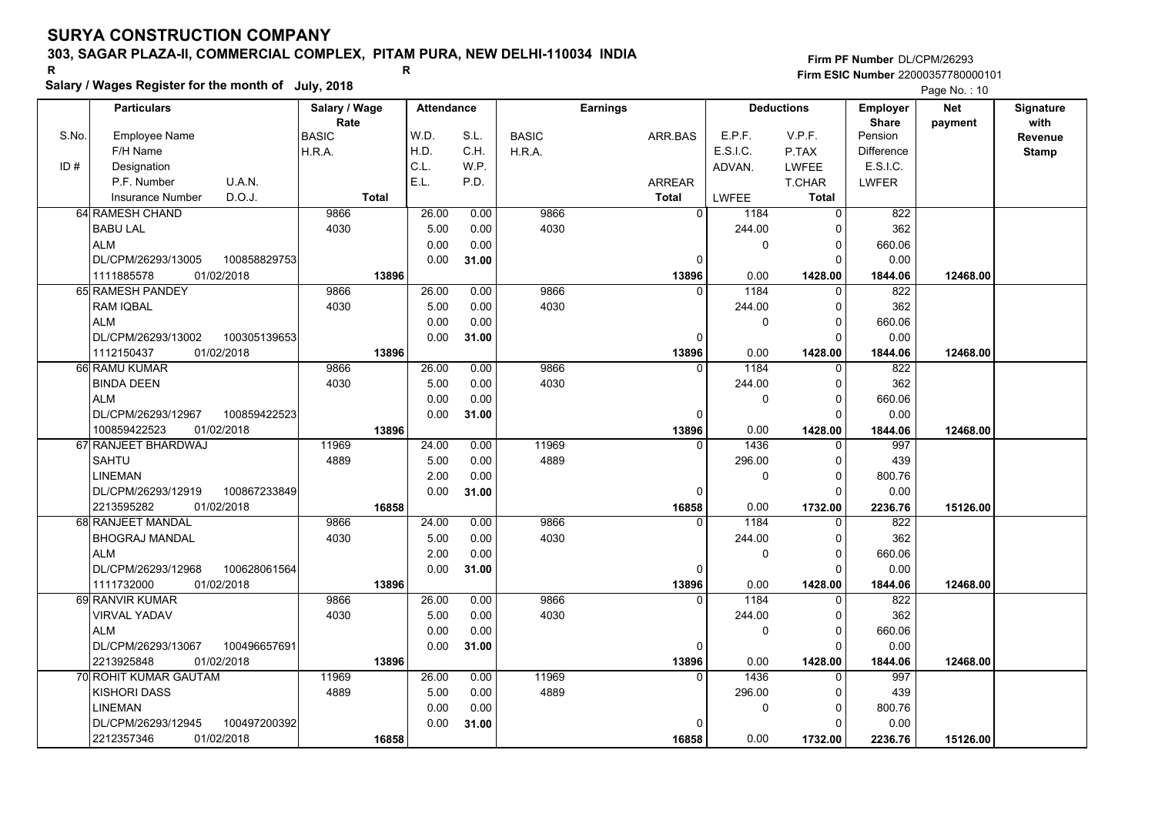## **303, SAGAR PLAZA-II, COMMERCIAL COMPLEX, PITAM PURA, NEW DELHI-110034 INDIA**

**Salary / Wages Register for the month of July, 2018 <sup>R</sup> <sup>R</sup>**

**Firm PF Number**DL/CPM/26293**Firm ESIC Number** 22000357780000101

|       |                                    |                       |                   |       |              |                 |              |                   |                          | $\Gamma$ aye ive. $\Gamma$ iv |                   |
|-------|------------------------------------|-----------------------|-------------------|-------|--------------|-----------------|--------------|-------------------|--------------------------|-------------------------------|-------------------|
|       | <b>Particulars</b>                 | Salary / Wage<br>Rate | <b>Attendance</b> |       |              | <b>Earnings</b> |              | <b>Deductions</b> | Employer<br><b>Share</b> | <b>Net</b><br>payment         | Signature<br>with |
| S.No. | <b>Employee Name</b>               | <b>BASIC</b>          | W.D.              | S.L.  | <b>BASIC</b> | ARR.BAS         | E.P.F.       | V.P.F.            | Pension                  |                               | Revenue           |
|       | F/H Name                           | H.R.A.                | H.D.              | C.H.  | H.R.A.       |                 | E.S.I.C.     | P.TAX             | <b>Difference</b>        |                               | <b>Stamp</b>      |
| ID#   | Designation                        |                       | C.L.              | W.P.  |              |                 | ADVAN.       | <b>LWFEE</b>      | E.S.I.C.                 |                               |                   |
|       | P.F. Number<br>U.A.N.              |                       | E.L.              | P.D.  |              | <b>ARREAR</b>   |              | T.CHAR            | <b>LWFER</b>             |                               |                   |
|       | D.O.J.<br><b>Insurance Number</b>  | <b>Total</b>          |                   |       |              | <b>Total</b>    | <b>LWFEE</b> | <b>Total</b>      |                          |                               |                   |
|       | 64 RAMESH CHAND                    | 9866                  | 26.00             | 0.00  | 9866         | $\overline{0}$  | 1184         | $\mathbf 0$       | 822                      |                               |                   |
|       | <b>BABU LAL</b>                    | 4030                  | 5.00              | 0.00  | 4030         |                 | 244.00       | $\mathbf 0$       | 362                      |                               |                   |
|       | <b>ALM</b>                         |                       | 0.00              | 0.00  |              |                 | 0            | $\Omega$          | 660.06                   |                               |                   |
|       | 100858829753<br>DL/CPM/26293/13005 |                       | 0.00              | 31.00 |              | $\Omega$        |              | 0                 | 0.00                     |                               |                   |
|       | 1111885578<br>01/02/2018           | 13896                 |                   |       |              | 13896           | 0.00         | 1428.00           | 1844.06                  | 12468.00                      |                   |
|       | 65 RAMESH PANDEY                   | 9866                  | 26.00             | 0.00  | 9866         | $\Omega$        | 1184         | $\Omega$          | 822                      |                               |                   |
|       | <b>RAM IQBAL</b>                   | 4030                  | 5.00              | 0.00  | 4030         |                 | 244.00       | $\Omega$          | 362                      |                               |                   |
|       | <b>ALM</b>                         |                       | 0.00              | 0.00  |              |                 | 0            | $\mathbf 0$       | 660.06                   |                               |                   |
|       | DL/CPM/26293/13002<br>100305139653 |                       | 0.00              | 31.00 |              | $\Omega$        |              | $\Omega$          | 0.00                     |                               |                   |
|       | 1112150437<br>01/02/2018           | 13896                 |                   |       |              | 13896           | 0.00         | 1428.00           | 1844.06                  | 12468.00                      |                   |
|       | 66 RAMU KUMAR                      | 9866                  | 26.00             | 0.00  | 9866         |                 | 1184         | $\Omega$          | 822                      |                               |                   |
|       | <b>BINDA DEEN</b>                  | 4030                  | 5.00              | 0.00  | 4030         |                 | 244.00       | 0                 | 362                      |                               |                   |
|       | <b>ALM</b>                         |                       | 0.00              | 0.00  |              |                 | 0            | $\Omega$          | 660.06                   |                               |                   |
|       | DL/CPM/26293/12967<br>100859422523 |                       | 0.00              | 31.00 |              | $\Omega$        |              | $\Omega$          | 0.00                     |                               |                   |
|       | 100859422523<br>01/02/2018         | 13896                 |                   |       |              | 13896           | 0.00         | 1428.00           | 1844.06                  | 12468.00                      |                   |
|       | 67 RANJEET BHARDWAJ                | 11969                 | 24.00             | 0.00  | 11969        | $\Omega$        | 1436         | $\mathbf 0$       | 997                      |                               |                   |
|       | <b>SAHTU</b>                       | 4889                  | 5.00              | 0.00  | 4889         |                 | 296.00       | 0                 | 439                      |                               |                   |
|       | <b>LINEMAN</b>                     |                       | 2.00              | 0.00  |              |                 | 0            | $\mathbf 0$       | 800.76                   |                               |                   |
|       | DL/CPM/26293/12919<br>100867233849 |                       | 0.00              | 31.00 |              | $\Omega$        |              | $\Omega$          | 0.00                     |                               |                   |
|       | 2213595282<br>01/02/2018           | 16858                 |                   |       |              | 16858           | 0.00         | 1732.00           | 2236.76                  | 15126.00                      |                   |
|       | 68 RANJEET MANDAL                  | 9866                  | 24.00             | 0.00  | 9866         |                 | 1184         | $\Omega$          | 822                      |                               |                   |
|       | <b>BHOGRAJ MANDAL</b>              | 4030                  | 5.00              | 0.00  | 4030         |                 | 244.00       | $\mathbf 0$       | 362                      |                               |                   |
|       | <b>ALM</b>                         |                       | 2.00              | 0.00  |              |                 | 0            | $\mathbf 0$       | 660.06                   |                               |                   |
|       | DL/CPM/26293/12968<br>100628061564 |                       | 0.00              | 31.00 |              | $\Omega$        |              | $\Omega$          | 0.00                     |                               |                   |
|       | 1111732000<br>01/02/2018           | 13896                 |                   |       |              | 13896           | 0.00         | 1428.00           | 1844.06                  | 12468.00                      |                   |
|       | 69 RANVIR KUMAR                    | 9866                  | 26.00             | 0.00  | 9866         | $\Omega$        | 1184         | $\Omega$          | 822                      |                               |                   |
|       | <b>VIRVAL YADAV</b>                | 4030                  | 5.00              | 0.00  | 4030         |                 | 244.00       | 0                 | 362                      |                               |                   |
|       | <b>ALM</b>                         |                       | 0.00              | 0.00  |              |                 | 0            | 0                 | 660.06                   |                               |                   |
|       | DL/CPM/26293/13067<br>100496657691 |                       | 0.00              | 31.00 |              | $\Omega$        |              | $\Omega$          | 0.00                     |                               |                   |
|       | 2213925848<br>01/02/2018           | 13896                 |                   |       |              | 13896           | 0.00         | 1428.00           | 1844.06                  | 12468.00                      |                   |
|       | 70 ROHIT KUMAR GAUTAM              | 11969                 | 26.00             | 0.00  | 11969        |                 | 1436         | $\Omega$          | 997                      |                               |                   |
|       | <b>KISHORI DASS</b>                | 4889                  | 5.00              | 0.00  | 4889         |                 | 296.00       | 0                 | 439                      |                               |                   |
|       | <b>LINEMAN</b>                     |                       | 0.00              | 0.00  |              |                 | 0            | $\mathbf 0$       | 800.76                   |                               |                   |
|       | DL/CPM/26293/12945<br>100497200392 |                       | 0.00              | 31.00 |              | O               |              | $\Omega$          | 0.00                     |                               |                   |
|       | 01/02/2018<br>2212357346           | 16858                 |                   |       |              | 16858           | 0.00         | 1732.00           | 2236.76                  | 15126.00                      |                   |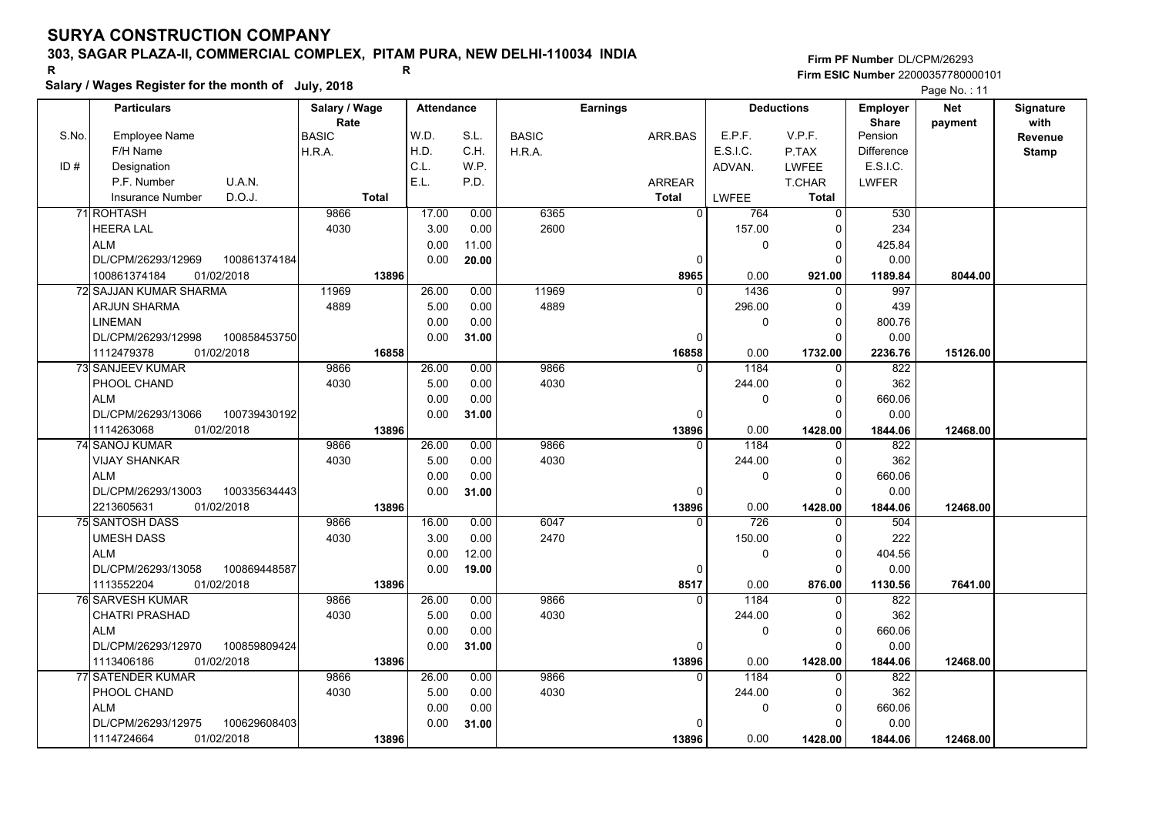## **303, SAGAR PLAZA-II, COMMERCIAL COMPLEX, PITAM PURA, NEW DELHI-110034 INDIA**

# **Salary / Wages Register for the month of July, 2018 <sup>R</sup> <sup>R</sup>**

**Firm PF Number**DL/CPM/26293**Firm ESIC Number** 22000357780000101

|       | Salary / Wages Register for the month of July, 2018 |               |                   |       |              |                 |                 |                   |                   | Page No.: 11 |                  |
|-------|-----------------------------------------------------|---------------|-------------------|-------|--------------|-----------------|-----------------|-------------------|-------------------|--------------|------------------|
|       | <b>Particulars</b>                                  | Salary / Wage | <b>Attendance</b> |       |              | <b>Earnings</b> |                 | <b>Deductions</b> | Employer          | <b>Net</b>   | <b>Signature</b> |
|       |                                                     | Rate          |                   |       |              |                 |                 |                   | <b>Share</b>      | payment      | with             |
| S.No. | <b>Employee Name</b>                                | <b>BASIC</b>  | W.D.              | S.L.  | <b>BASIC</b> | ARR.BAS         | E.P.F.          | V.P.F.            | Pension           |              | Revenue          |
|       | F/H Name                                            | H.R.A.        | H.D.              | C.H.  | H.R.A.       |                 | <b>E.S.I.C.</b> | P.TAX             | <b>Difference</b> |              | <b>Stamp</b>     |
| ID#   | Designation                                         |               | C.L.              | W.P.  |              |                 | ADVAN.          | <b>LWFEE</b>      | E.S.I.C.          |              |                  |
|       | P.F. Number<br>U.A.N.                               |               | E.L.              | P.D.  |              | ARREAR          |                 | <b>T.CHAR</b>     | <b>LWFER</b>      |              |                  |
|       | D.O.J.<br><b>Insurance Number</b>                   | <b>Total</b>  |                   |       |              | <b>Total</b>    | <b>LWFEE</b>    | <b>Total</b>      |                   |              |                  |
|       | 71 ROHTASH                                          | 9866          | 17.00             | 0.00  | 6365         | $\overline{0}$  | 764             | $\overline{0}$    | 530               |              |                  |
|       | <b>HEERA LAL</b>                                    | 4030          | 3.00              | 0.00  | 2600         |                 | 157.00          | $\Omega$          | 234               |              |                  |
|       | <b>ALM</b>                                          |               | 0.00              | 11.00 |              |                 | $\mathbf 0$     | 0                 | 425.84            |              |                  |
|       | DL/CPM/26293/12969<br>100861374184                  |               | 0.00              | 20.00 |              | 0               |                 | $\Omega$          | 0.00              |              |                  |
|       | 01/02/2018<br>100861374184                          | 13896         |                   |       |              | 8965            | 0.00            | 921.00            | 1189.84           | 8044.00      |                  |
|       | 72 SAJJAN KUMAR SHARMA                              | 11969         | 26.00             | 0.00  | 11969        | $\Omega$        | 1436            | $\Omega$          | 997               |              |                  |
|       | <b>ARJUN SHARMA</b>                                 | 4889          | 5.00              | 0.00  | 4889         |                 | 296.00          | $\Omega$          | 439               |              |                  |
|       | <b>LINEMAN</b>                                      |               | 0.00              | 0.00  |              |                 | $\pmb{0}$       | $\Omega$          | 800.76            |              |                  |
|       | DL/CPM/26293/12998<br>100858453750                  |               | 0.00              | 31.00 |              | 0               |                 | 0                 | 0.00              |              |                  |
|       | 1112479378<br>01/02/2018                            | 16858         |                   |       |              | 16858           | 0.00            | 1732.00           | 2236.76           | 15126.00     |                  |
|       | 73 SANJEEV KUMAR                                    | 9866          | 26.00             | 0.00  | 9866         | $\Omega$        | 1184            | $\Omega$          | 822               |              |                  |
|       | PHOOL CHAND                                         | 4030          | 5.00              | 0.00  | 4030         |                 | 244.00          | $\Omega$          | 362               |              |                  |
|       | <b>ALM</b>                                          |               | 0.00              | 0.00  |              |                 | $\mathbf 0$     | $\Omega$          | 660.06            |              |                  |
|       | DL/CPM/26293/13066<br>100739430192                  |               | 0.00              | 31.00 |              | 0               |                 | $\Omega$          | 0.00              |              |                  |
|       | 1114263068<br>01/02/2018                            | 13896         |                   |       |              | 13896           | 0.00            | 1428.00           | 1844.06           | 12468.00     |                  |
|       | 74 SANOJ KUMAR                                      | 9866          | 26.00             | 0.00  | 9866         | $\Omega$        | 1184            | $\Omega$          | 822               |              |                  |
|       | VIJAY SHANKAR                                       | 4030          | 5.00              | 0.00  | 4030         |                 | 244.00          | $\Omega$          | 362               |              |                  |
|       | <b>ALM</b>                                          |               | 0.00              | 0.00  |              |                 | 0               | $\Omega$          | 660.06            |              |                  |
|       | DL/CPM/26293/13003<br>100335634443                  |               | 0.00              | 31.00 |              | 0               |                 | $\Omega$          | 0.00              |              |                  |
|       | 01/02/2018<br>2213605631                            | 13896         |                   |       |              | 13896           | 0.00            | 1428.00           | 1844.06           | 12468.00     |                  |
|       | 75 SANTOSH DASS                                     | 9866          | 16.00             | 0.00  | 6047         | $\Omega$        | 726             | $\Omega$          | 504               |              |                  |
|       | <b>UMESH DASS</b>                                   | 4030          | 3.00              | 0.00  | 2470         |                 | 150.00          | 0                 | 222               |              |                  |
|       | <b>ALM</b>                                          |               | 0.00              | 12.00 |              |                 | $\mathbf 0$     | $\Omega$          | 404.56            |              |                  |
|       | DL/CPM/26293/13058<br>100869448587                  |               | 0.00              | 19.00 |              | 0               |                 | $\Omega$          | 0.00              |              |                  |
|       | 1113552204<br>01/02/2018                            | 13896         |                   |       |              | 8517            | 0.00            | 876.00            | 1130.56           | 7641.00      |                  |
|       | 76 SARVESH KUMAR                                    | 9866          | 26.00             | 0.00  | 9866         | 0               | 1184            | 0                 | 822               |              |                  |
|       | <b>CHATRI PRASHAD</b>                               | 4030          | 5.00              | 0.00  | 4030         |                 | 244.00          | $\Omega$          | 362               |              |                  |
|       | <b>ALM</b>                                          |               | 0.00              | 0.00  |              |                 | $\mathbf 0$     | $\Omega$          | 660.06            |              |                  |
|       | DL/CPM/26293/12970<br>100859809424                  |               | 0.00              | 31.00 |              | 0               |                 | $\Omega$          | 0.00              |              |                  |
|       | 1113406186<br>01/02/2018                            | 13896         |                   |       |              | 13896           | 0.00            | 1428.00           | 1844.06           | 12468.00     |                  |
|       | 77 SATENDER KUMAR                                   | 9866          | 26.00             | 0.00  | 9866         | $\Omega$        | 1184            | $\Omega$          | 822               |              |                  |
|       | PHOOL CHAND                                         | 4030          | 5.00              | 0.00  | 4030         |                 | 244.00          | $\Omega$          | 362               |              |                  |
|       | <b>ALM</b>                                          |               | 0.00              | 0.00  |              |                 | 0               | 0                 | 660.06            |              |                  |
|       | 100629608403<br>DL/CPM/26293/12975                  |               | 0.00              | 31.00 |              | $\Omega$        |                 | O                 | 0.00              |              |                  |
|       | 1114724664<br>01/02/2018                            | 13896         |                   |       |              | 13896           | 0.00            | 1428.00           | 1844.06           | 12468.00     |                  |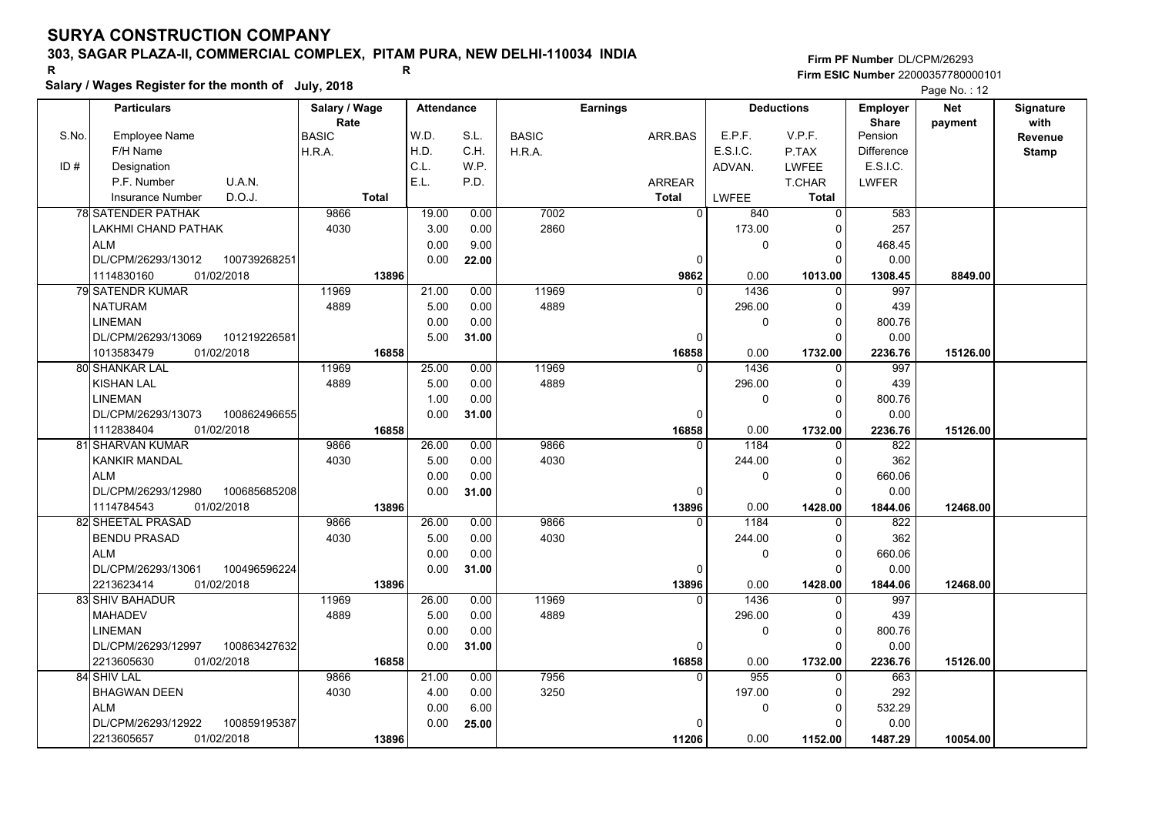## **303, SAGAR PLAZA-II, COMMERCIAL COMPLEX, PITAM PURA, NEW DELHI-110034 INDIA**

**Salary / Wages Register for the month of July, 2018 <sup>R</sup> <sup>R</sup>**

**Firm PF Number**DL/CPM/26293**Firm ESIC Number** 22000357780000101

|       | <b>Particulars</b>                 | Salary / Wage<br>Rate | <b>Attendance</b> |       |              | <b>Earnings</b> |             | <b>Deductions</b> | <b>Employer</b><br><b>Share</b> | <b>Net</b> | Signature<br>with |
|-------|------------------------------------|-----------------------|-------------------|-------|--------------|-----------------|-------------|-------------------|---------------------------------|------------|-------------------|
| S.No. | Employee Name                      | BASIC                 | W.D.              | S.L.  | <b>BASIC</b> | ARR.BAS         | E.P.F.      | V.P.F.            | Pension                         | payment    | <b>Revenue</b>    |
|       | F/H Name                           | H.R.A.                | H.D.              | C.H.  | H.R.A.       |                 | E.S.I.C.    | P.TAX             | Difference                      |            | <b>Stamp</b>      |
| ID#   | Designation                        |                       | C.L.              | W.P.  |              |                 | ADVAN.      | LWFEE             | E.S.I.C.                        |            |                   |
|       | U.A.N.<br>P.F. Number              |                       | E.L.              | P.D.  |              | <b>ARREAR</b>   |             | T.CHAR            | <b>LWFER</b>                    |            |                   |
|       | D.O.J.<br>Insurance Number         | <b>Total</b>          |                   |       |              | Total           | LWFEE       | Total             |                                 |            |                   |
|       | <b>78 SATENDER PATHAK</b>          | 9866                  | 19.00             | 0.00  | 7002         | $\Omega$        | 840         | $\Omega$          | 583                             |            |                   |
|       | LAKHMI CHAND PATHAK                | 4030                  | 3.00              | 0.00  | 2860         |                 | 173.00      | $\Omega$          | 257                             |            |                   |
|       | <b>ALM</b>                         |                       | 0.00              | 9.00  |              |                 | $\mathbf 0$ | $\Omega$          | 468.45                          |            |                   |
|       | DL/CPM/26293/13012<br>100739268251 |                       | 0.00              | 22.00 |              | $\Omega$        |             | $\Omega$          | 0.00                            |            |                   |
|       | 1114830160<br>01/02/2018           | 13896                 |                   |       |              | 9862            | 0.00        | 1013.00           | 1308.45                         | 8849.00    |                   |
|       | 79 SATENDR KUMAR                   | 11969                 | 21.00             | 0.00  | 11969        | $\Omega$        | 1436        | $\Omega$          | 997                             |            |                   |
|       | <b>NATURAM</b>                     | 4889                  | 5.00              | 0.00  | 4889         |                 | 296.00      | 0                 | 439                             |            |                   |
|       | <b>LINEMAN</b>                     |                       | 0.00              | 0.00  |              |                 | 0           | $\Omega$          | 800.76                          |            |                   |
|       | DL/CPM/26293/13069<br>101219226581 |                       | 5.00              | 31.00 |              | 0               |             | $\Omega$          | 0.00                            |            |                   |
|       | 01/02/2018<br>1013583479           | 16858                 |                   |       |              | 16858           | 0.00        | 1732.00           | 2236.76                         | 15126.00   |                   |
|       | 80 SHANKAR LAL                     | 11969                 | 25.00             | 0.00  | 11969        | $\Omega$        | 1436        | $\Omega$          | 997                             |            |                   |
|       | <b>KISHAN LAL</b>                  | 4889                  | 5.00              | 0.00  | 4889         |                 | 296.00      | $\Omega$          | 439                             |            |                   |
|       | <b>LINEMAN</b>                     |                       | 1.00              | 0.00  |              |                 | 0           | $\Omega$          | 800.76                          |            |                   |
|       | DL/CPM/26293/13073<br>100862496655 |                       | 0.00              | 31.00 |              | $\Omega$        |             | $\Omega$          | 0.00                            |            |                   |
|       | 1112838404<br>01/02/2018           | 16858                 |                   |       |              | 16858           | 0.00        | 1732.00           | 2236.76                         | 15126.00   |                   |
|       | 81 SHARVAN KUMAR                   | 9866                  | 26.00             | 0.00  | 9866         | $\Omega$        | 1184        | $\Omega$          | $\overline{822}$                |            |                   |
|       | KANKIR MANDAL                      | 4030                  | 5.00              | 0.00  | 4030         |                 | 244.00      | $\Omega$          | 362                             |            |                   |
|       | <b>ALM</b>                         |                       | 0.00              | 0.00  |              |                 | $\Omega$    | $\Omega$          | 660.06                          |            |                   |
|       | DL/CPM/26293/12980<br>100685685208 |                       | 0.00              | 31.00 |              | $\Omega$        |             | $\Omega$          | 0.00                            |            |                   |
|       | 1114784543<br>01/02/2018           | 13896                 |                   |       |              | 13896           | 0.00        | 1428.00           | 1844.06                         | 12468.00   |                   |
|       | 82 SHEETAL PRASAD                  | 9866                  | 26.00             | 0.00  | 9866         | $\Omega$        | 1184        | $\Omega$          | 822                             |            |                   |
|       | <b>BENDU PRASAD</b>                | 4030                  | 5.00              | 0.00  | 4030         |                 | 244.00      | $\Omega$          | 362                             |            |                   |
|       | <b>ALM</b>                         |                       | 0.00              | 0.00  |              |                 | $\mathbf 0$ | 0                 | 660.06                          |            |                   |
|       | DL/CPM/26293/13061<br>100496596224 |                       | 0.00              | 31.00 |              | $\Omega$        |             | $\Omega$          | 0.00                            |            |                   |
|       | 2213623414<br>01/02/2018           | 13896                 |                   |       |              | 13896           | 0.00        | 1428.00           | 1844.06                         | 12468.00   |                   |
|       | 83 SHIV BAHADUR                    | 11969                 | 26.00             | 0.00  | 11969        | $\Omega$        | 1436        | $\Omega$          | 997                             |            |                   |
|       | <b>MAHADEV</b>                     | 4889                  | 5.00              | 0.00  | 4889         |                 | 296.00      | $\Omega$          | 439                             |            |                   |
|       | <b>LINEMAN</b>                     |                       | 0.00              | 0.00  |              |                 | 0           | $\Omega$          | 800.76                          |            |                   |
|       | 100863427632<br>DL/CPM/26293/12997 |                       | 0.00              | 31.00 |              | 0               |             | $\Omega$          | 0.00                            |            |                   |
|       | 2213605630<br>01/02/2018           | 16858                 |                   |       |              | 16858           | 0.00        | 1732.00           | 2236.76                         | 15126.00   |                   |
|       | 84 SHIV LAL                        | 9866                  | 21.00             | 0.00  | 7956         | $\Omega$        | 955         | $\Omega$          | 663                             |            |                   |
|       | <b>BHAGWAN DEEN</b>                | 4030                  | 4.00              | 0.00  | 3250         |                 | 197.00      | 0                 | 292                             |            |                   |
|       | <b>ALM</b>                         |                       | 0.00              | 6.00  |              |                 | $\mathbf 0$ | 0                 | 532.29                          |            |                   |
|       | DL/CPM/26293/12922<br>100859195387 |                       | 0.00              | 25.00 |              |                 |             | $\Omega$          | 0.00                            |            |                   |
|       | 2213605657<br>01/02/2018           | 13896                 |                   |       |              | 11206           | 0.00        | 1152.00           | 1487.29                         | 10054.00   |                   |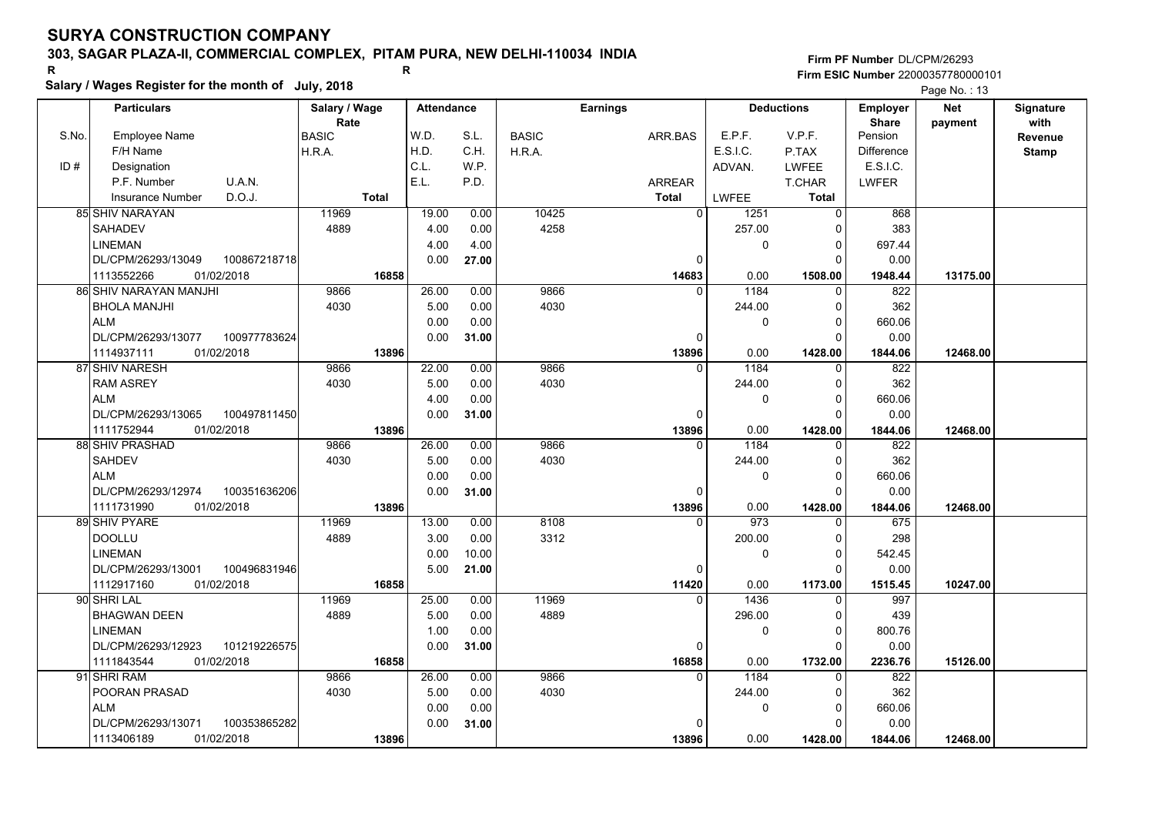## **303, SAGAR PLAZA-II, COMMERCIAL COMPLEX, PITAM PURA, NEW DELHI-110034 INDIA**

**Salary / Wages Register for the month of July, 2018 <sup>R</sup> <sup>R</sup>**

**Firm PF Number**DL/CPM/26293**Firm ESIC Number** 22000357780000101

|       | <b>Particulars</b>                 | Salary / Wage        | <b>Attendance</b> |       | <b>Earnings</b> |              | <b>Deductions</b>      |              | Employer                | <b>Net</b> | Signature       |
|-------|------------------------------------|----------------------|-------------------|-------|-----------------|--------------|------------------------|--------------|-------------------------|------------|-----------------|
| S.No. | <b>Employee Name</b>               | Rate<br><b>BASIC</b> | W.D.              | S.L.  | <b>BASIC</b>    | ARR BAS      | E.P.F.                 | V.P.F.       | <b>Share</b><br>Pension | payment    | with<br>Revenue |
|       | F/H Name                           | H.R.A.               | H.D.              | C.H.  | H.R.A.          |              | E.S.I.C.               | P.TAX        | <b>Difference</b>       |            | <b>Stamp</b>    |
| ID#   | Designation                        |                      | C.L.              | W.P.  |                 |              | ADVAN.                 | <b>LWFEE</b> | E.S.I.C.                |            |                 |
|       | U.A.N.<br>P.F. Number              |                      | E.L.              | P.D.  |                 | ARREAR       |                        | T.CHAR       | <b>LWFER</b>            |            |                 |
|       | D.O.J.<br><b>Insurance Number</b>  | <b>Total</b>         |                   |       |                 | <b>Total</b> | LWFEE                  | <b>Total</b> |                         |            |                 |
|       | <b>85 SHIV NARAYAN</b>             | 11969                | 19.00             | 0.00  | 10425           |              | $\overline{0}$<br>1251 | $\Omega$     | 868                     |            |                 |
|       | <b>SAHADEV</b>                     | 4889                 | 4.00              | 0.00  | 4258            |              | 257.00                 | ŋ            | 383                     |            |                 |
|       | LINEMAN                            |                      | 4.00              | 4.00  |                 |              | 0                      | 0            | 697.44                  |            |                 |
|       | DL/CPM/26293/13049<br>100867218718 |                      | 0.00              | 27.00 |                 | $\Omega$     |                        | $\Omega$     | 0.00                    |            |                 |
|       | 1113552266<br>01/02/2018           | 16858                |                   |       |                 | 14683        | 0.00                   | 1508.00      | 1948.44                 | 13175.00   |                 |
|       | 86 SHIV NARAYAN MANJHI             | 9866                 | 26.00             | 0.00  | 9866            | $\Omega$     | 1184                   | $\Omega$     | 822                     |            |                 |
|       | <b>BHOLA MANJHI</b>                | 4030                 | 5.00              | 0.00  | 4030            |              | 244.00                 | <sup>0</sup> | 362                     |            |                 |
|       | <b>ALM</b>                         |                      | 0.00              | 0.00  |                 |              | 0                      | $\Omega$     | 660.06                  |            |                 |
|       | DL/CPM/26293/13077<br>100977783624 |                      | 0.00              | 31.00 |                 | 0            |                        | $\Omega$     | 0.00                    |            |                 |
|       | 01/02/2018<br>1114937111           | 13896                |                   |       |                 | 13896        | 0.00                   | 1428.00      | 1844.06                 | 12468.00   |                 |
|       | 87 SHIV NARESH                     | 9866                 | 22.00             | 0.00  | 9866            |              | 1184<br>$\Omega$       | $\Omega$     | 822                     |            |                 |
|       | <b>RAM ASREY</b>                   | 4030                 | 5.00              | 0.00  | 4030            |              | 244.00                 | $\Omega$     | 362                     |            |                 |
|       | <b>ALM</b>                         |                      | 4.00              | 0.00  |                 |              | 0                      | $\Omega$     | 660.06                  |            |                 |
|       | DL/CPM/26293/13065<br>100497811450 |                      | 0.00              | 31.00 |                 | 0            |                        |              | 0.00                    |            |                 |
|       | 01/02/2018<br>1111752944           | 13896                |                   |       |                 | 13896        | 0.00                   | 1428.00      | 1844.06                 | 12468.00   |                 |
|       | 88 SHIV PRASHAD                    | 9866                 | 26.00             | 0.00  | 9866            |              | 1184<br>0              | 0            | 822                     |            |                 |
|       | SAHDEV                             | 4030                 | 5.00              | 0.00  | 4030            |              | 244.00                 | $\Omega$     | 362                     |            |                 |
|       | <b>ALM</b>                         |                      | 0.00              | 0.00  |                 |              | 0                      | 0            | 660.06                  |            |                 |
|       | DL/CPM/26293/12974<br>100351636206 |                      | 0.00              | 31.00 |                 | $\Omega$     |                        | $\Omega$     | 0.00                    |            |                 |
|       | 1111731990<br>01/02/2018           | 13896                |                   |       |                 | 13896        | 0.00                   | 1428.00      | 1844.06                 | 12468.00   |                 |
|       | 89 SHIV PYARE                      | 11969                | 13.00             | 0.00  | 8108            | $\Omega$     | 973                    |              | 675                     |            |                 |
|       | <b>DOOLLU</b>                      | 4889                 | 3.00              | 0.00  | 3312            |              | 200.00                 | $\Omega$     | 298                     |            |                 |
|       | <b>LINEMAN</b>                     |                      | 0.00              | 10.00 |                 |              | 0                      | $\Omega$     | 542.45                  |            |                 |
|       | DL/CPM/26293/13001<br>100496831946 |                      | 5.00              | 21.00 |                 | 0            |                        | $\Omega$     | 0.00                    |            |                 |
|       | 1112917160<br>01/02/2018           | 16858                |                   |       |                 | 11420        | 0.00                   | 1173.00      | 1515.45                 | 10247.00   |                 |
|       | 90 SHRI LAL                        | 11969                | 25.00             | 0.00  | 11969           | $\Omega$     | 1436                   | $\Omega$     | 997                     |            |                 |
|       | <b>BHAGWAN DEEN</b>                | 4889                 | 5.00              | 0.00  | 4889            |              | 296.00                 | $\Omega$     | 439                     |            |                 |
|       | LINEMAN                            |                      | 1.00              | 0.00  |                 |              | 0                      | $\mathbf 0$  | 800.76                  |            |                 |
|       | DL/CPM/26293/12923<br>101219226575 |                      | 0.00              | 31.00 |                 | 0            |                        | $\Omega$     | 0.00                    |            |                 |
|       | 01/02/2018<br>1111843544           | 16858                |                   |       |                 | 16858        | 0.00                   | 1732.00      | 2236.76                 | 15126.00   |                 |
|       | 91 SHRI RAM                        | 9866                 | 26.00             | 0.00  | 9866            | $\Omega$     | 1184                   | $\Omega$     | 822                     |            |                 |
|       | POORAN PRASAD                      | 4030                 | 5.00              | 0.00  | 4030            |              | 244.00                 | ŋ            | 362                     |            |                 |
|       | <b>ALM</b>                         |                      | 0.00              | 0.00  |                 |              | 0                      | $\Omega$     | 660.06                  |            |                 |
|       | DL/CPM/26293/13071<br>100353865282 |                      | 0.00              | 31.00 |                 |              |                        |              | 0.00                    |            |                 |
|       | 1113406189<br>01/02/2018           | 13896                |                   |       |                 | 13896        | 0.00                   | 1428.00      | 1844.06                 | 12468.00   |                 |